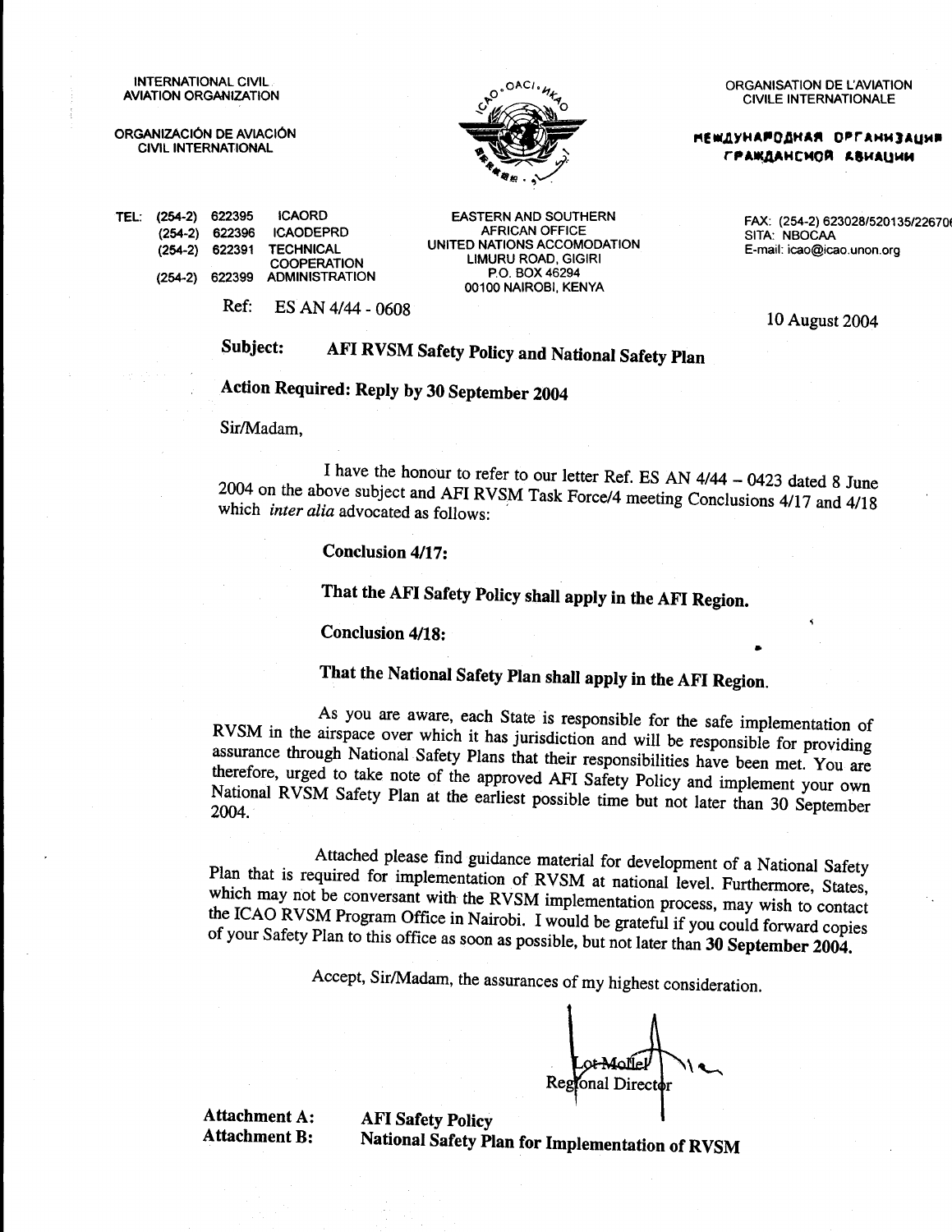**INTERNATIONAL CIVIL AVIATION ORGANIZATION** 

ORGANIZÁCIÓN DE AVIACIÓN **CIVIL INTERNATIONAL** 



ORGANISATION DE L'AVIATION **CIVILE INTERNATIONALE** 

**МЕШДУНАРОДНАЯ ОРГАНИЗАЦИЯ** ГРАЖДАНСМОЙ АВИАЦИИ

SITA: NBOCAA

FAX: (254-2) 623028/520135/22670

| TEL: (254-2) 622395 | <b>ICAORD</b>                                  |  |
|---------------------|------------------------------------------------|--|
|                     | (254-2) 622396 ICAODEPRD                       |  |
|                     | (254-2) 622391 TECHNICAL<br><b>COOPERATION</b> |  |
|                     | (254-2) 622399 ADMINISTRATION                  |  |
|                     |                                                |  |

**EASTERN AND SOUTHERN AFRICAN OFFICE** UNITED NATIONS ACCOMODATION **LIMURU ROAD, GIGIRI** PO BOX 46294 00100 NAIROBI, KENYA

 $Ref<sub>c</sub>$ ES AN 4/44 - 0608

10 August 2004

E-mail: icao@icao.unon.org

#### AFI RVSM Safety Policy and National Safety Plan Subject:

Action Required: Reply by 30 September 2004

Sir/Madam.

I have the honour to refer to our letter Ref. ES AN 4/44 - 0423 dated 8 June 2004 on the above subject and AFI RVSM Task Force/4 meeting Conclusions 4/17 and 4/18 which *inter alia* advocated as follows:

Conclusion 4/17:

That the AFI Safety Policy shall apply in the AFI Region.

Conclusion 4/18:

# That the National Safety Plan shall apply in the AFI Region.

As you are aware, each State is responsible for the safe implementation of RVSM in the airspace over which it has jurisdiction and will be responsible for providing assurance through National Safety Plans that their responsibilities have been met. You are therefore, urged to take note of the approved AFI Safety Policy and implement your own National RVSM Safety Plan at the earliest possible time but not later than 30 September 2004.

Attached please find guidance material for development of a National Safety Plan that is required for implementation of RVSM at national level. Furthermore, States, which may not be conversant with the RVSM implementation process, may wish to contact the ICAO RVSM Program Office in Nairobi. I would be grateful if you could forward copies of your Safety Plan to this office as soon as possible, but not later than 30 September 2004.

Accept, Sir/Madam, the assurances of my highest consideration.

Reg onal Director

**Attachment A: Attachment B:** 

**AFI Safety Policy** National Safety Plan for Implementation of RVSM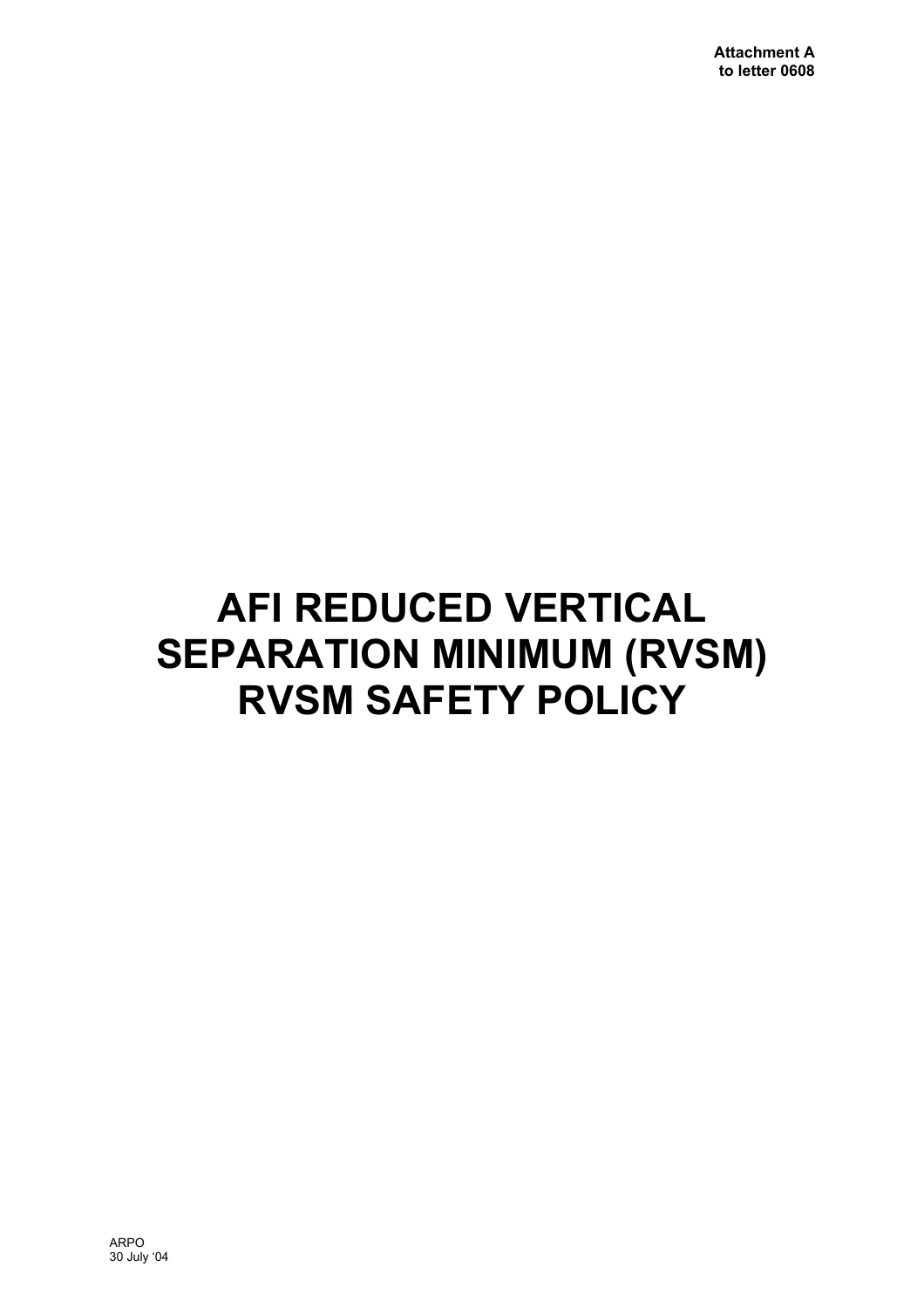# **AFI REDUCED VERTICAL SEPARATION MINIMUM (RVSM) RVSM SAFETY POLICY**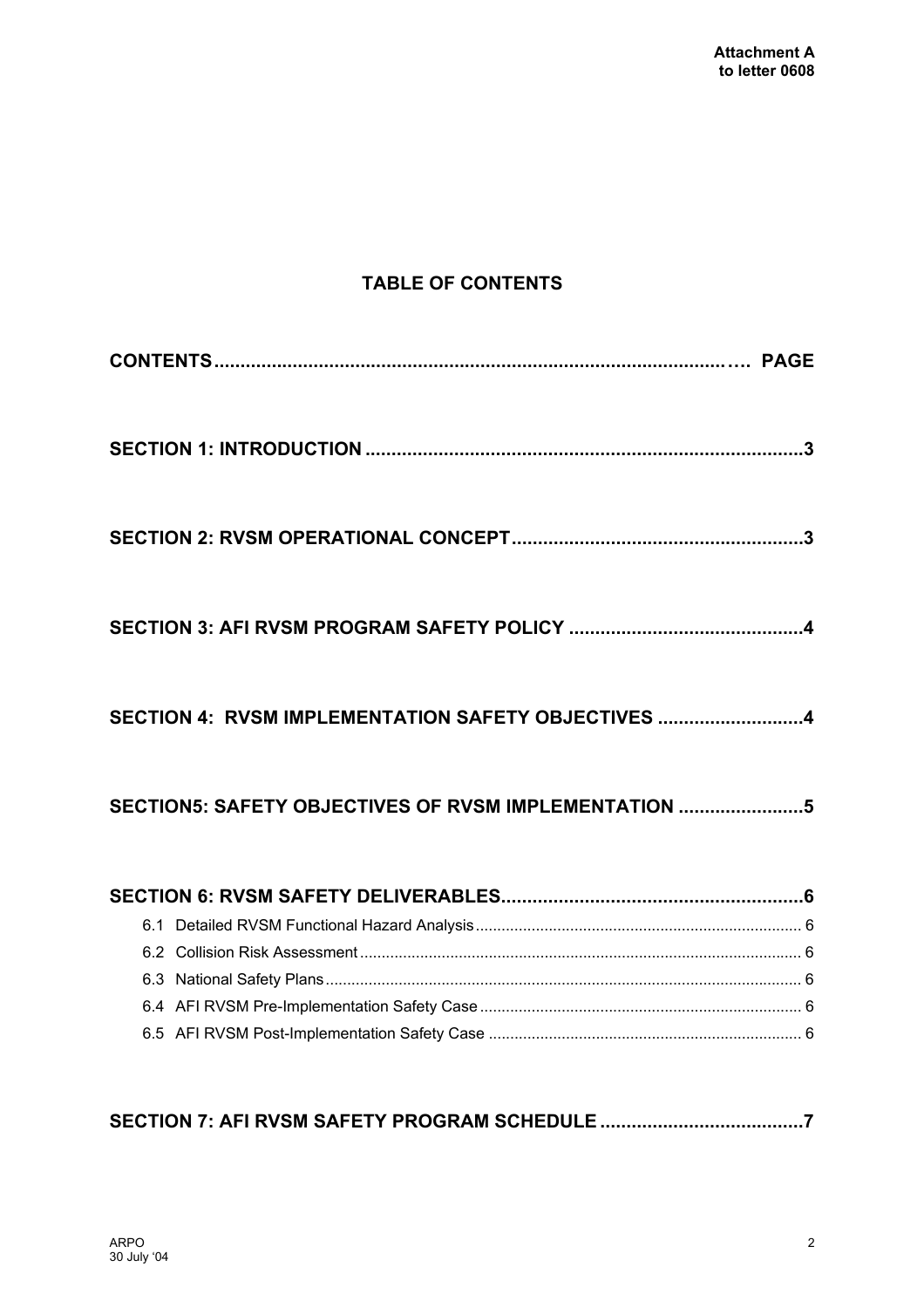# **TABLE OF CONTENTS**

| SECTION 4: RVSM IMPLEMENTATION SAFETY OBJECTIVES 4   |
|------------------------------------------------------|
| SECTION5: SAFETY OBJECTIVES OF RVSM IMPLEMENTATION 5 |
|                                                      |
|                                                      |
|                                                      |
|                                                      |
|                                                      |
|                                                      |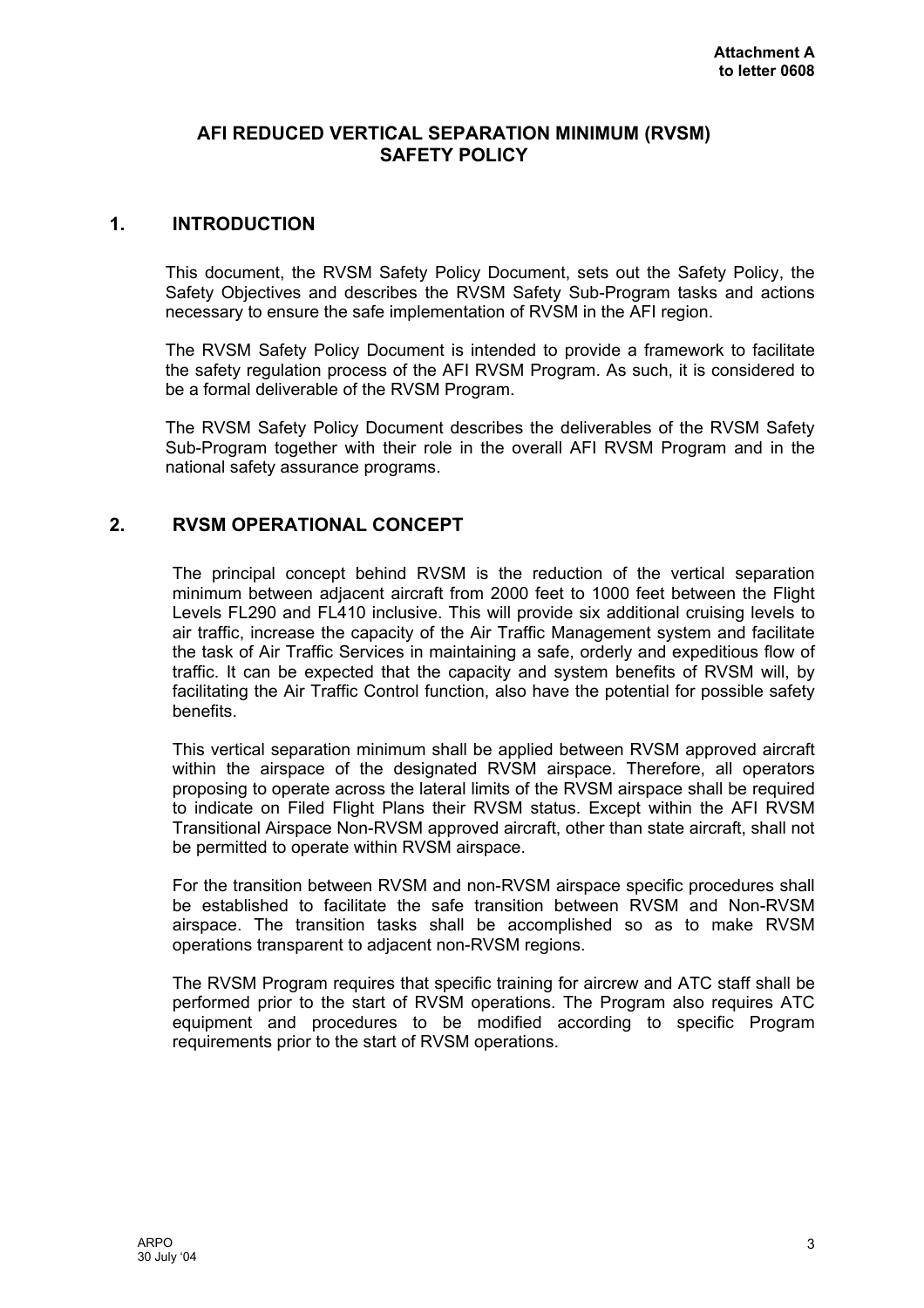#### <span id="page-3-0"></span>**AFI REDUCED VERTICAL SEPARATION MINIMUM (RVSM) SAFETY POLICY**

#### **1. INTRODUCTION**

This document, the RVSM Safety Policy Document, sets out the Safety Policy, the Safety Objectives and describes the RVSM Safety Sub-Program tasks and actions necessary to ensure the safe implementation of RVSM in the AFI region.

The RVSM Safety Policy Document is intended to provide a framework to facilitate the safety regulation process of the AFI RVSM Program. As such, it is considered to be a formal deliverable of the RVSM Program.

The RVSM Safety Policy Document describes the deliverables of the RVSM Safety Sub-Program together with their role in the overall AFI RVSM Program and in the national safety assurance programs.

#### **2. RVSM OPERATIONAL CONCEPT**

The principal concept behind RVSM is the reduction of the vertical separation minimum between adjacent aircraft from 2000 feet to 1000 feet between the Flight Levels FL290 and FL410 inclusive. This will provide six additional cruising levels to air traffic, increase the capacity of the Air Traffic Management system and facilitate the task of Air Traffic Services in maintaining a safe, orderly and expeditious flow of traffic. It can be expected that the capacity and system benefits of RVSM will, by facilitating the Air Traffic Control function, also have the potential for possible safety benefits.

This vertical separation minimum shall be applied between RVSM approved aircraft within the airspace of the designated RVSM airspace. Therefore, all operators proposing to operate across the lateral limits of the RVSM airspace shall be required to indicate on Filed Flight Plans their RVSM status. Except within the AFI RVSM Transitional Airspace Non-RVSM approved aircraft, other than state aircraft, shall not be permitted to operate within RVSM airspace.

For the transition between RVSM and non-RVSM airspace specific procedures shall be established to facilitate the safe transition between RVSM and Non-RVSM airspace. The transition tasks shall be accomplished so as to make RVSM operations transparent to adjacent non-RVSM regions.

The RVSM Program requires that specific training for aircrew and ATC staff shall be performed prior to the start of RVSM operations. The Program also requires ATC equipment and procedures to be modified according to specific Program requirements prior to the start of RVSM operations.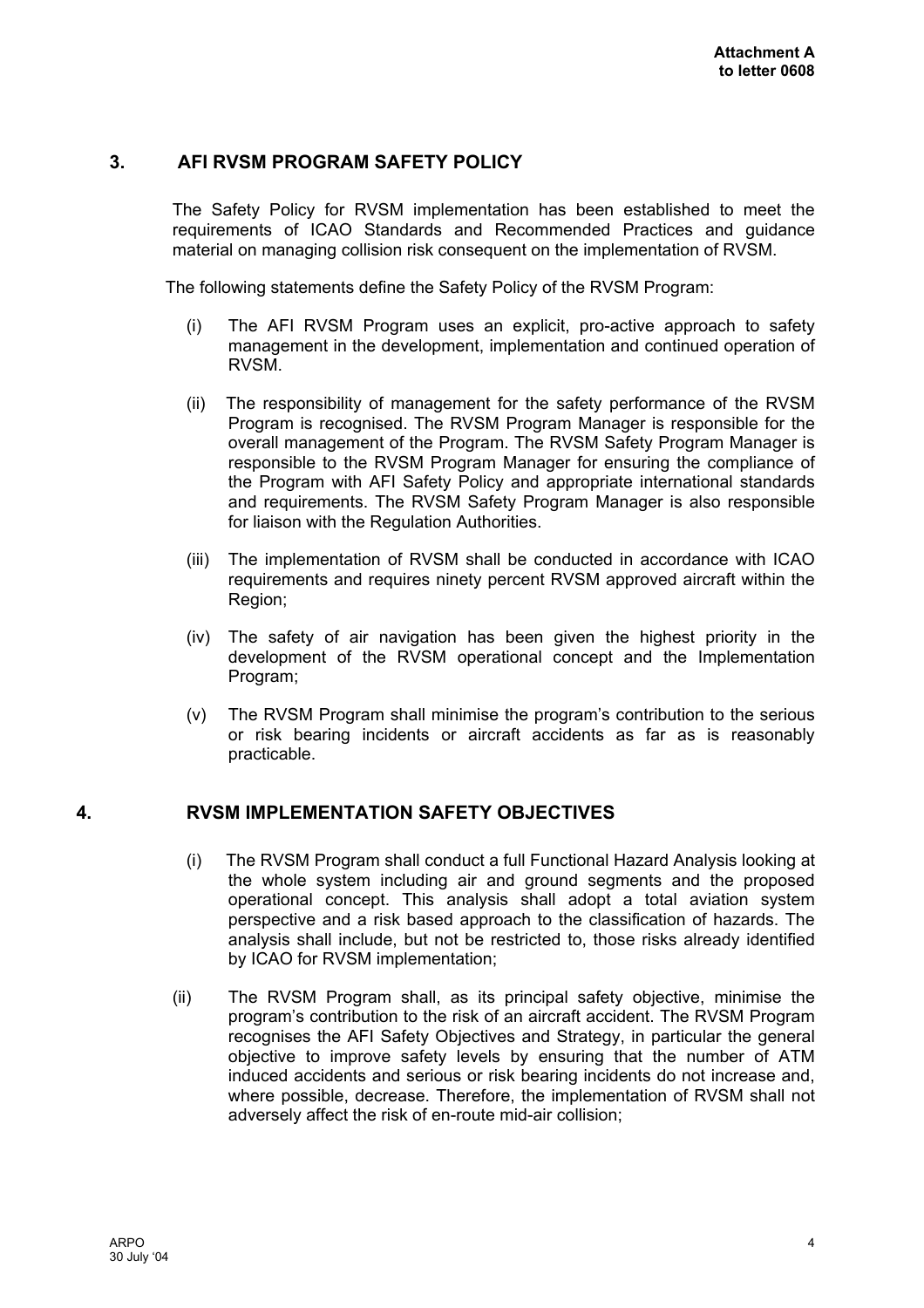#### <span id="page-4-0"></span>**3. AFI RVSM PROGRAM SAFETY POLICY**

The Safety Policy for RVSM implementation has been established to meet the requirements of ICAO Standards and Recommended Practices and guidance material on managing collision risk consequent on the implementation of RVSM.

The following statements define the Safety Policy of the RVSM Program:

- (i) The AFI RVSM Program uses an explicit, pro-active approach to safety management in the development, implementation and continued operation of RVSM.
- (ii) The responsibility of management for the safety performance of the RVSM Program is recognised. The RVSM Program Manager is responsible for the overall management of the Program. The RVSM Safety Program Manager is responsible to the RVSM Program Manager for ensuring the compliance of the Program with AFI Safety Policy and appropriate international standards and requirements. The RVSM Safety Program Manager is also responsible for liaison with the Regulation Authorities.
- (iii) The implementation of RVSM shall be conducted in accordance with ICAO requirements and requires ninety percent RVSM approved aircraft within the Region;
- (iv) The safety of air navigation has been given the highest priority in the development of the RVSM operational concept and the Implementation Program;
- (v) The RVSM Program shall minimise the program's contribution to the serious or risk bearing incidents or aircraft accidents as far as is reasonably practicable.

# **4. RVSM IMPLEMENTATION SAFETY OBJECTIVES**

- (i) The RVSM Program shall conduct a full Functional Hazard Analysis looking at the whole system including air and ground segments and the proposed operational concept. This analysis shall adopt a total aviation system perspective and a risk based approach to the classification of hazards. The analysis shall include, but not be restricted to, those risks already identified by ICAO for RVSM implementation;
- (ii) The RVSM Program shall, as its principal safety objective, minimise the program's contribution to the risk of an aircraft accident. The RVSM Program recognises the AFI Safety Objectives and Strategy, in particular the general objective to improve safety levels by ensuring that the number of ATM induced accidents and serious or risk bearing incidents do not increase and, where possible, decrease. Therefore, the implementation of RVSM shall not adversely affect the risk of en-route mid-air collision;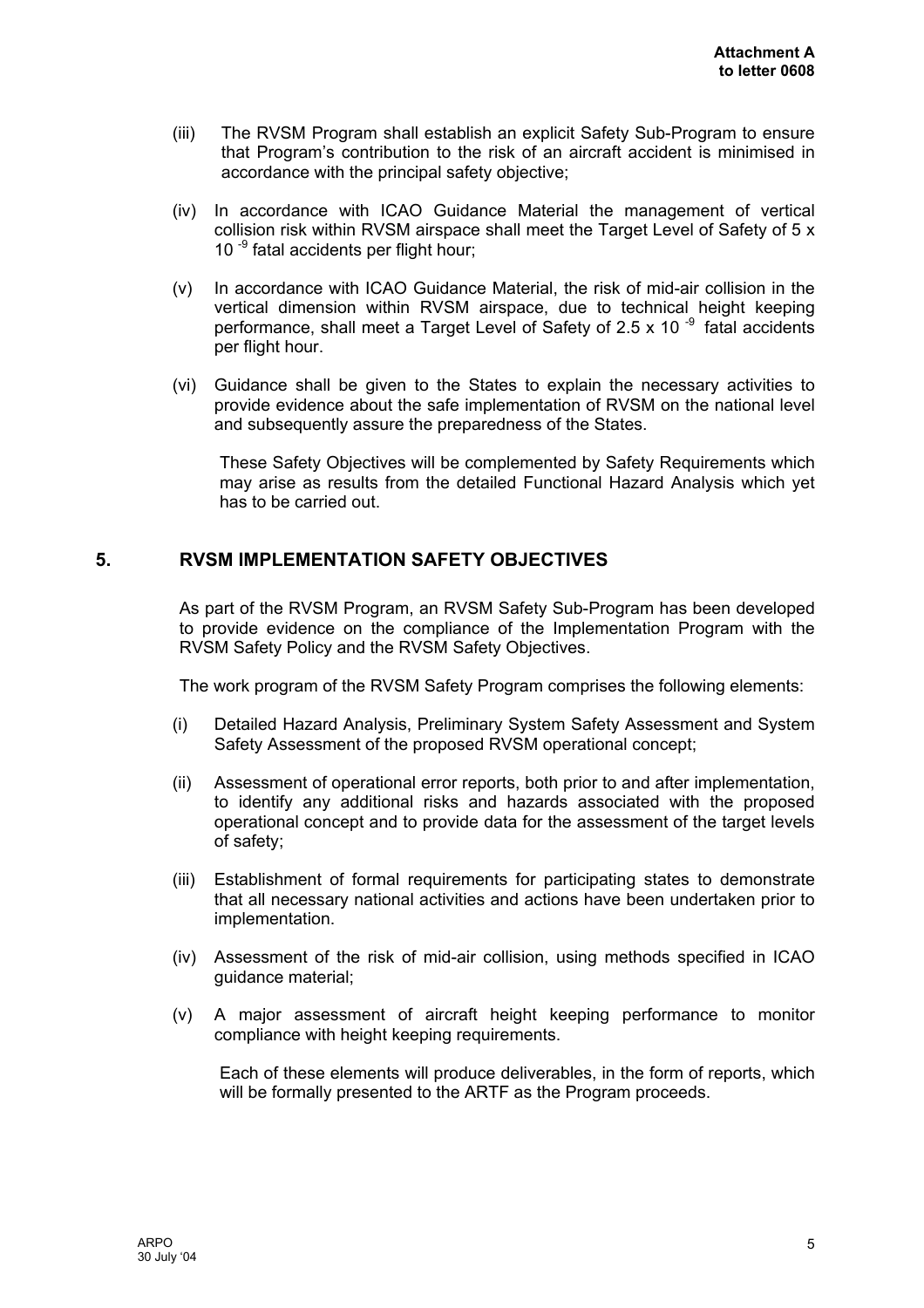- <span id="page-5-0"></span>(iii) The RVSM Program shall establish an explicit Safety Sub-Program to ensure that Program's contribution to the risk of an aircraft accident is minimised in accordance with the principal safety objective;
- (iv) In accordance with ICAO Guidance Material the management of vertical collision risk within RVSM airspace shall meet the Target Level of Safety of 5 x 10 $^{-9}$  fatal accidents per flight hour;
- (v) In accordance with ICAO Guidance Material, the risk of mid-air collision in the vertical dimension within RVSM airspace, due to technical height keeping performance, shall meet a Target Level of Safety of 2.5 x 10 $^{-9}$  fatal accidents per flight hour.
- (vi) Guidance shall be given to the States to explain the necessary activities to provide evidence about the safe implementation of RVSM on the national level and subsequently assure the preparedness of the States.

These Safety Objectives will be complemented by Safety Requirements which may arise as results from the detailed Functional Hazard Analysis which yet has to be carried out.

#### **5. RVSM IMPLEMENTATION SAFETY OBJECTIVES**

As part of the RVSM Program, an RVSM Safety Sub-Program has been developed to provide evidence on the compliance of the Implementation Program with the RVSM Safety Policy and the RVSM Safety Objectives.

The work program of the RVSM Safety Program comprises the following elements:

- (i) Detailed Hazard Analysis, Preliminary System Safety Assessment and System Safety Assessment of the proposed RVSM operational concept;
- (ii) Assessment of operational error reports, both prior to and after implementation, to identify any additional risks and hazards associated with the proposed operational concept and to provide data for the assessment of the target levels of safety;
- (iii) Establishment of formal requirements for participating states to demonstrate that all necessary national activities and actions have been undertaken prior to implementation.
- (iv) Assessment of the risk of mid-air collision, using methods specified in ICAO guidance material;
- (v) A major assessment of aircraft height keeping performance to monitor compliance with height keeping requirements.

Each of these elements will produce deliverables, in the form of reports, which will be formally presented to the ARTF as the Program proceeds.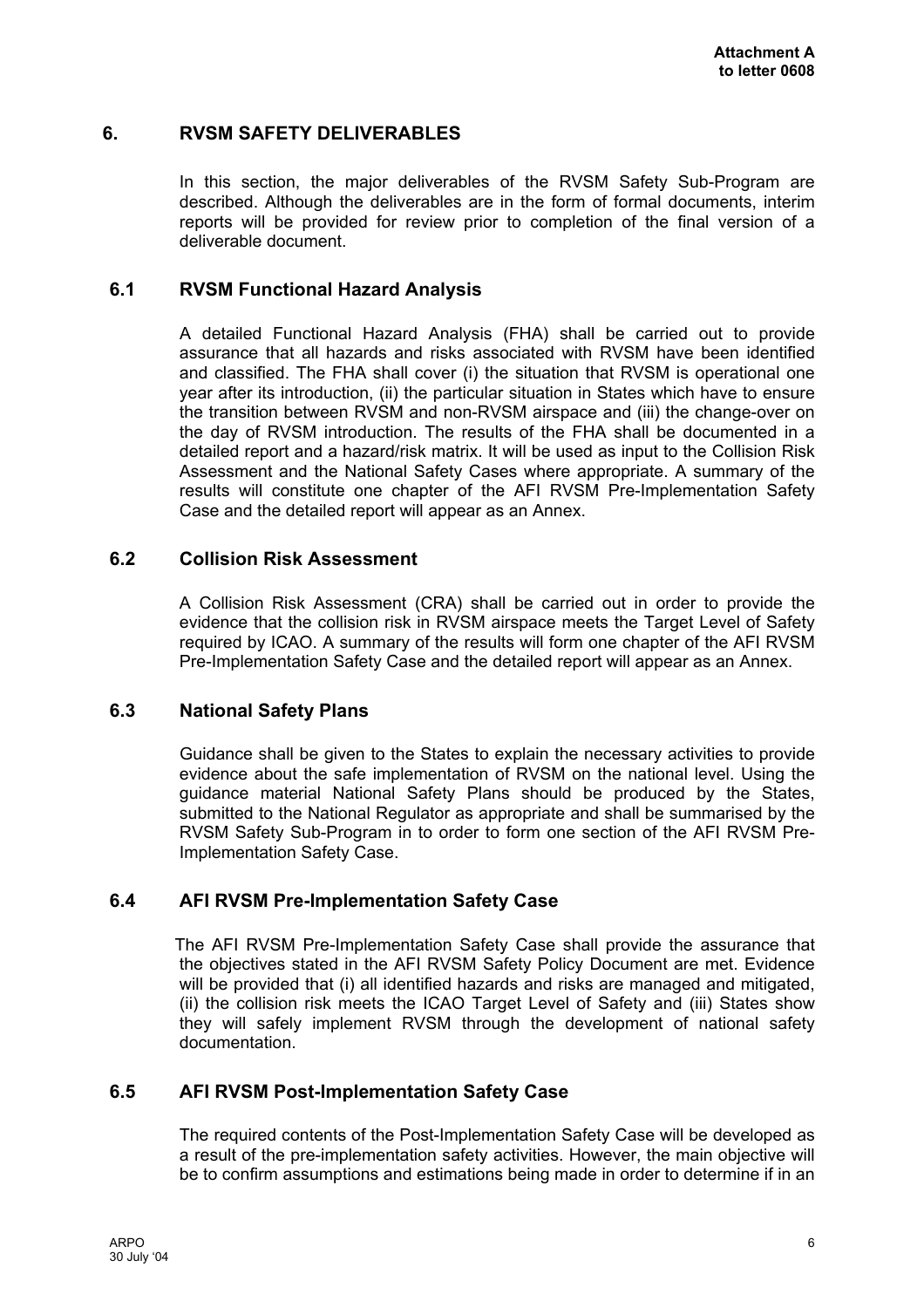#### <span id="page-6-0"></span>**6. RVSM SAFETY DELIVERABLES**

In this section, the major deliverables of the RVSM Safety Sub-Program are described. Although the deliverables are in the form of formal documents, interim reports will be provided for review prior to completion of the final version of a deliverable document.

#### **6.1 RVSM Functional Hazard Analysis**

A detailed Functional Hazard Analysis (FHA) shall be carried out to provide assurance that all hazards and risks associated with RVSM have been identified and classified. The FHA shall cover (i) the situation that RVSM is operational one year after its introduction, (ii) the particular situation in States which have to ensure the transition between RVSM and non-RVSM airspace and (iii) the change-over on the day of RVSM introduction. The results of the FHA shall be documented in a detailed report and a hazard/risk matrix. It will be used as input to the Collision Risk Assessment and the National Safety Cases where appropriate. A summary of the results will constitute one chapter of the AFI RVSM Pre-Implementation Safety Case and the detailed report will appear as an Annex.

#### **6.2 Collision Risk Assessment**

A Collision Risk Assessment (CRA) shall be carried out in order to provide the evidence that the collision risk in RVSM airspace meets the Target Level of Safety required by ICAO. A summary of the results will form one chapter of the AFI RVSM Pre-Implementation Safety Case and the detailed report will appear as an Annex.

#### **6.3 National Safety Plans**

Guidance shall be given to the States to explain the necessary activities to provide evidence about the safe implementation of RVSM on the national level. Using the guidance material National Safety Plans should be produced by the States, submitted to the National Regulator as appropriate and shall be summarised by the RVSM Safety Sub-Program in to order to form one section of the AFI RVSM Pre-Implementation Safety Case.

#### **6.4 AFI RVSM Pre-Implementation Safety Case**

The AFI RVSM Pre-Implementation Safety Case shall provide the assurance that the objectives stated in the AFI RVSM Safety Policy Document are met. Evidence will be provided that (i) all identified hazards and risks are managed and mitigated, (ii) the collision risk meets the ICAO Target Level of Safety and (iii) States show they will safely implement RVSM through the development of national safety documentation.

#### **6.5 AFI RVSM Post-Implementation Safety Case**

The required contents of the Post-Implementation Safety Case will be developed as a result of the pre-implementation safety activities. However, the main objective will be to confirm assumptions and estimations being made in order to determine if in an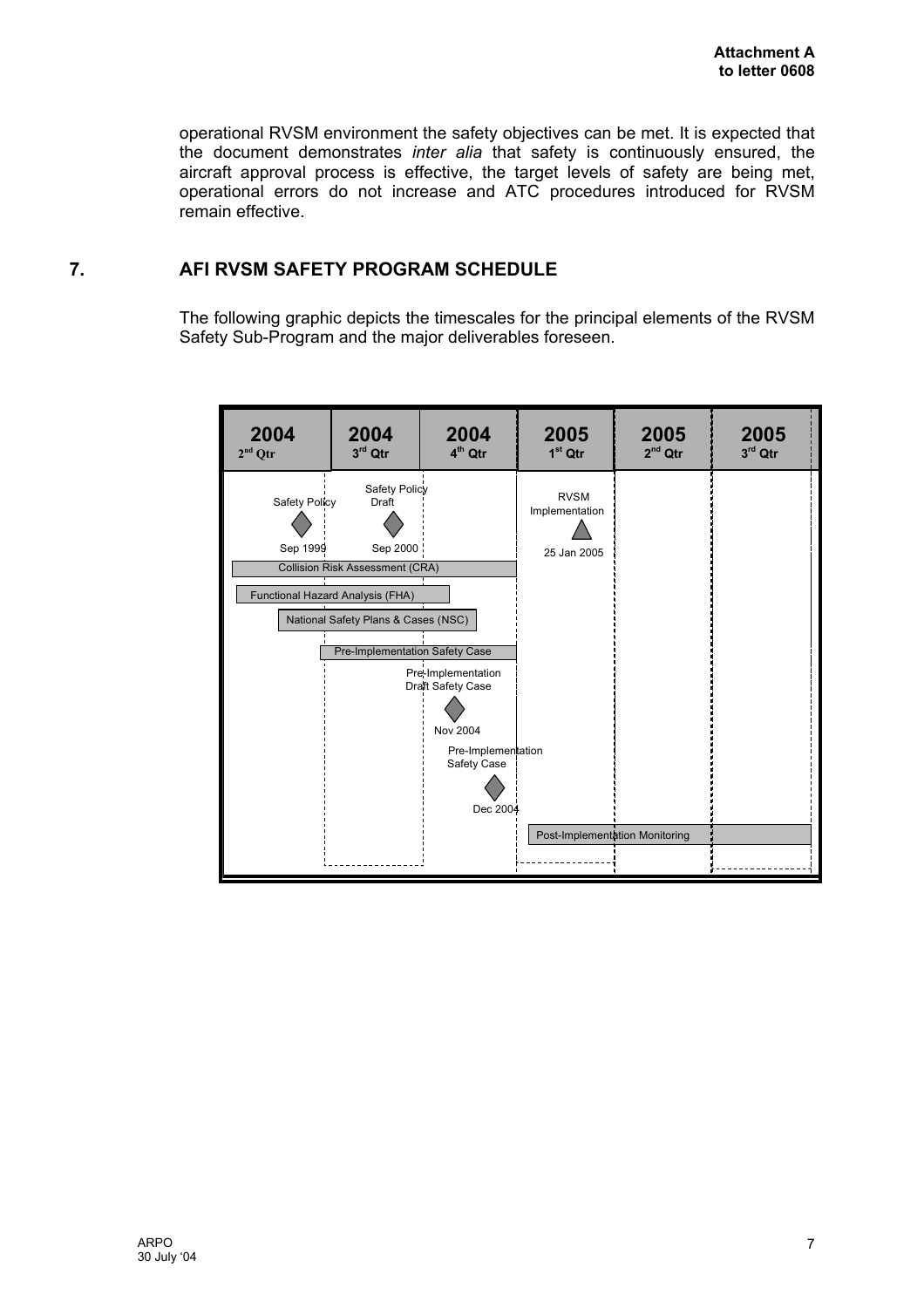<span id="page-7-0"></span>operational RVSM environment the safety objectives can be met. It is expected that the document demonstrates *inter alia* that safety is continuously ensured, the aircraft approval process is effective, the target levels of safety are being met, operational errors do not increase and ATC procedures introduced for RVSM remain effective.

#### **7. AFI RVSM SAFETY PROGRAM SCHEDULE**

The following graphic depicts the timescales for the principal elements of the RVSM Safety Sub-Program and the major deliverables foreseen.

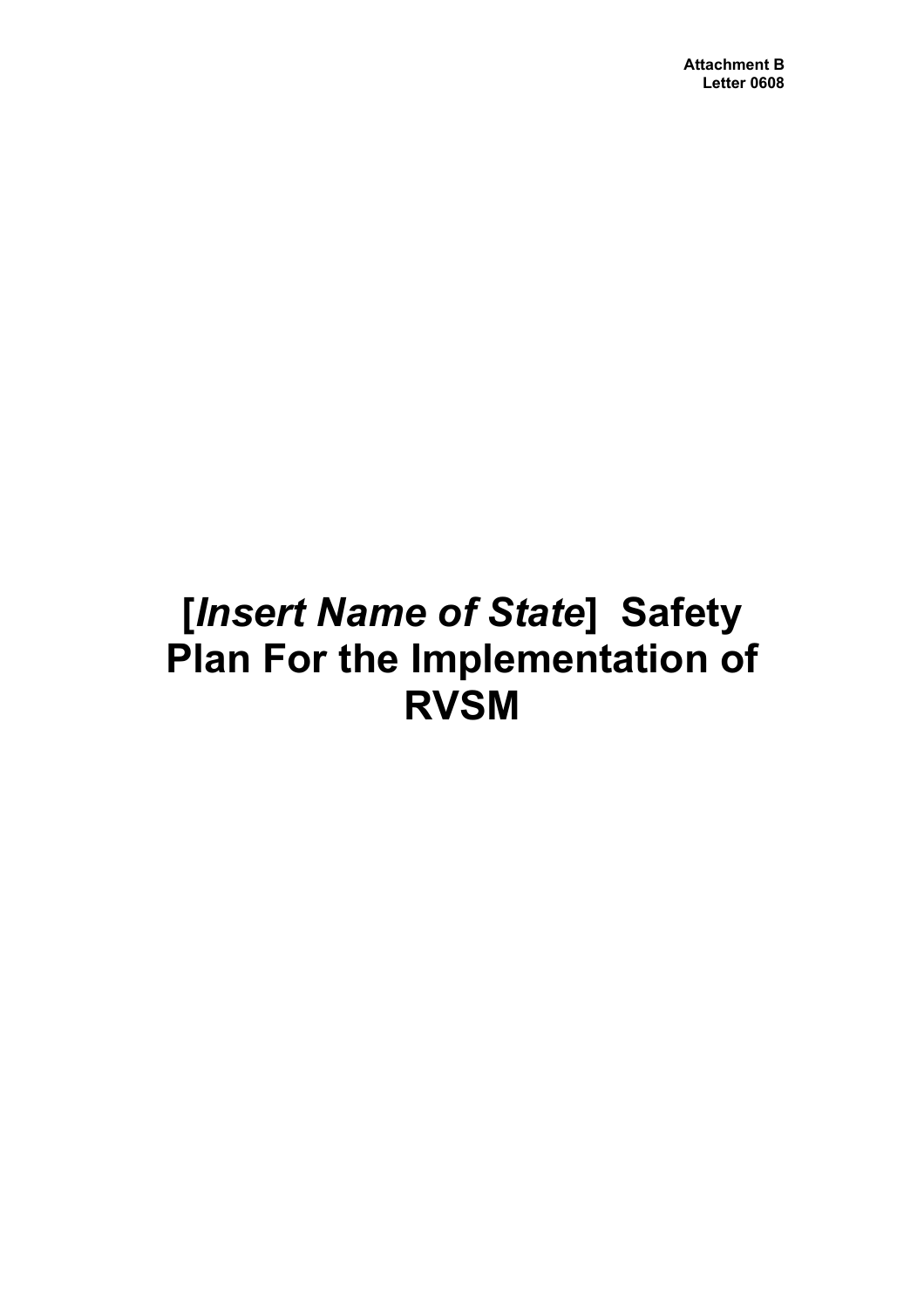# **[***Insert Name of State***] Safety Plan For the Implementation of RVSM**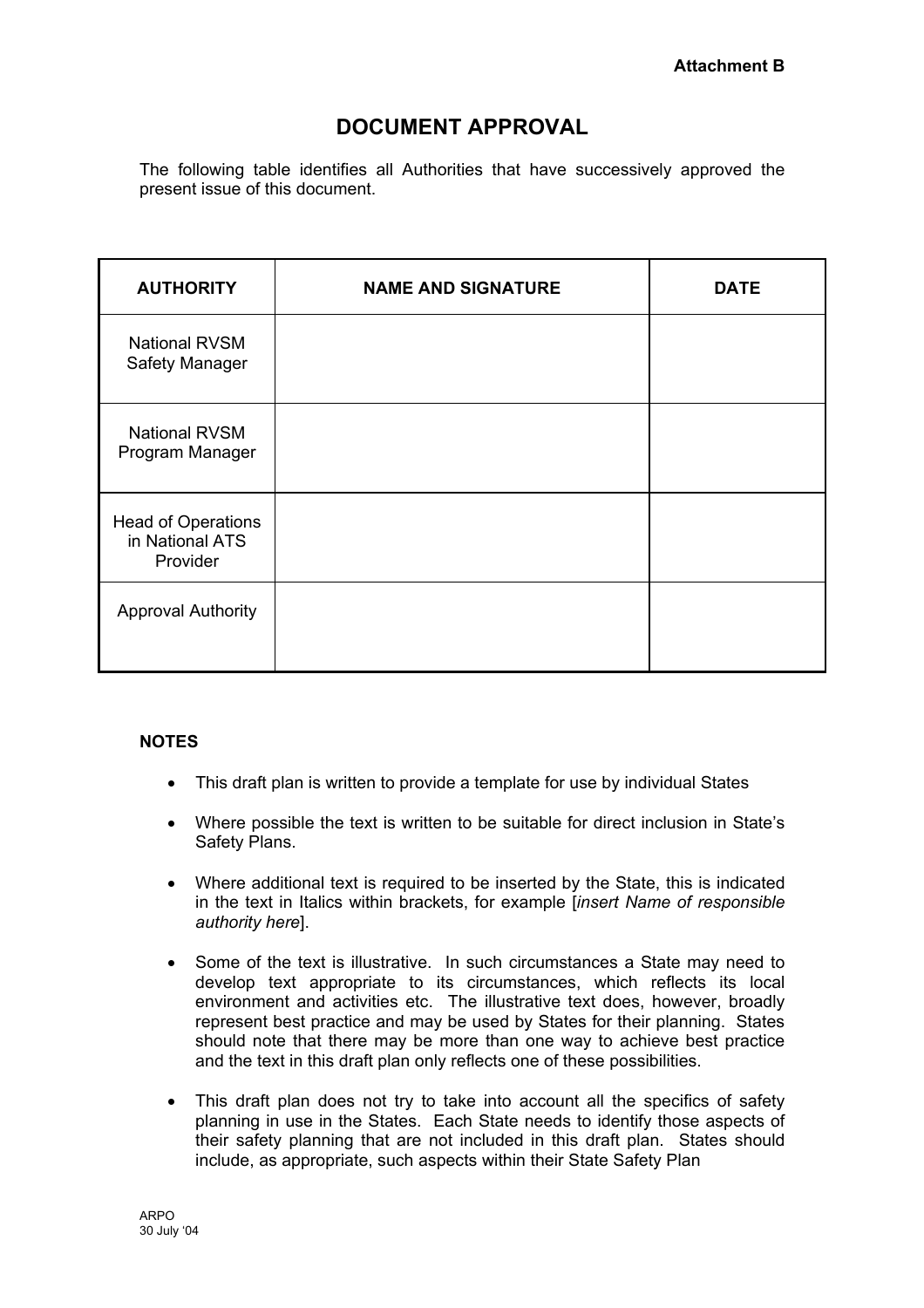# **DOCUMENT APPROVAL**

The following table identifies all Authorities that have successively approved the present issue of this document.

| <b>AUTHORITY</b>                                         | <b>NAME AND SIGNATURE</b> | <b>DATE</b> |
|----------------------------------------------------------|---------------------------|-------------|
| <b>National RVSM</b><br>Safety Manager                   |                           |             |
| <b>National RVSM</b><br>Program Manager                  |                           |             |
| <b>Head of Operations</b><br>in National ATS<br>Provider |                           |             |
| <b>Approval Authority</b>                                |                           |             |

#### **NOTES**

- This draft plan is written to provide a template for use by individual States
- Where possible the text is written to be suitable for direct inclusion in State's Safety Plans.
- Where additional text is required to be inserted by the State, this is indicated in the text in Italics within brackets, for example [*insert Name of responsible authority here*].
- Some of the text is illustrative. In such circumstances a State may need to develop text appropriate to its circumstances, which reflects its local environment and activities etc. The illustrative text does, however, broadly represent best practice and may be used by States for their planning. States should note that there may be more than one way to achieve best practice and the text in this draft plan only reflects one of these possibilities.
- This draft plan does not try to take into account all the specifics of safety planning in use in the States. Each State needs to identify those aspects of their safety planning that are not included in this draft plan. States should include, as appropriate, such aspects within their State Safety Plan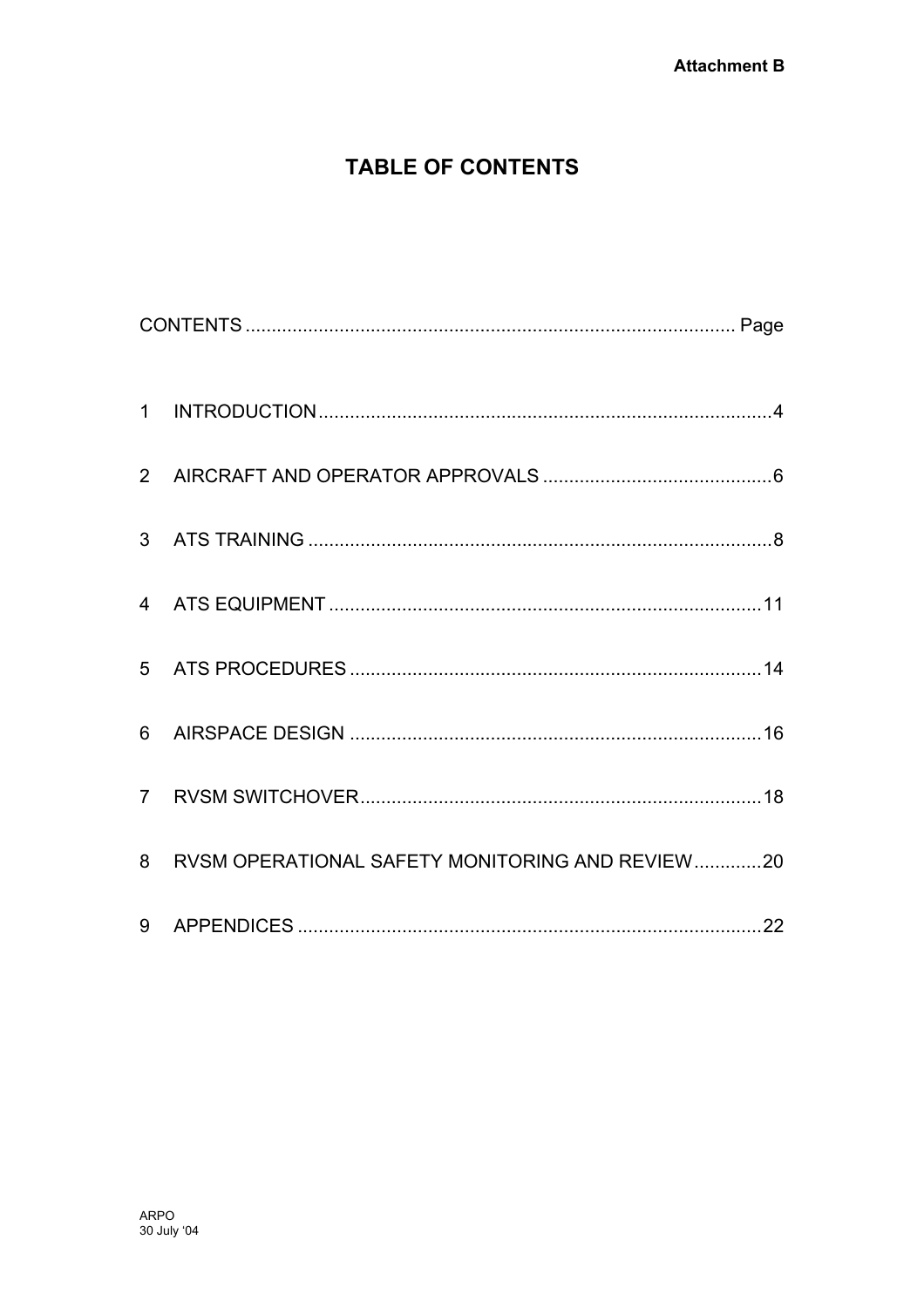# **TABLE OF CONTENTS**

| 6 |                                                   |  |
|---|---------------------------------------------------|--|
|   |                                                   |  |
|   | 8 RVSM OPERATIONAL SAFETY MONITORING AND REVIEW20 |  |
|   |                                                   |  |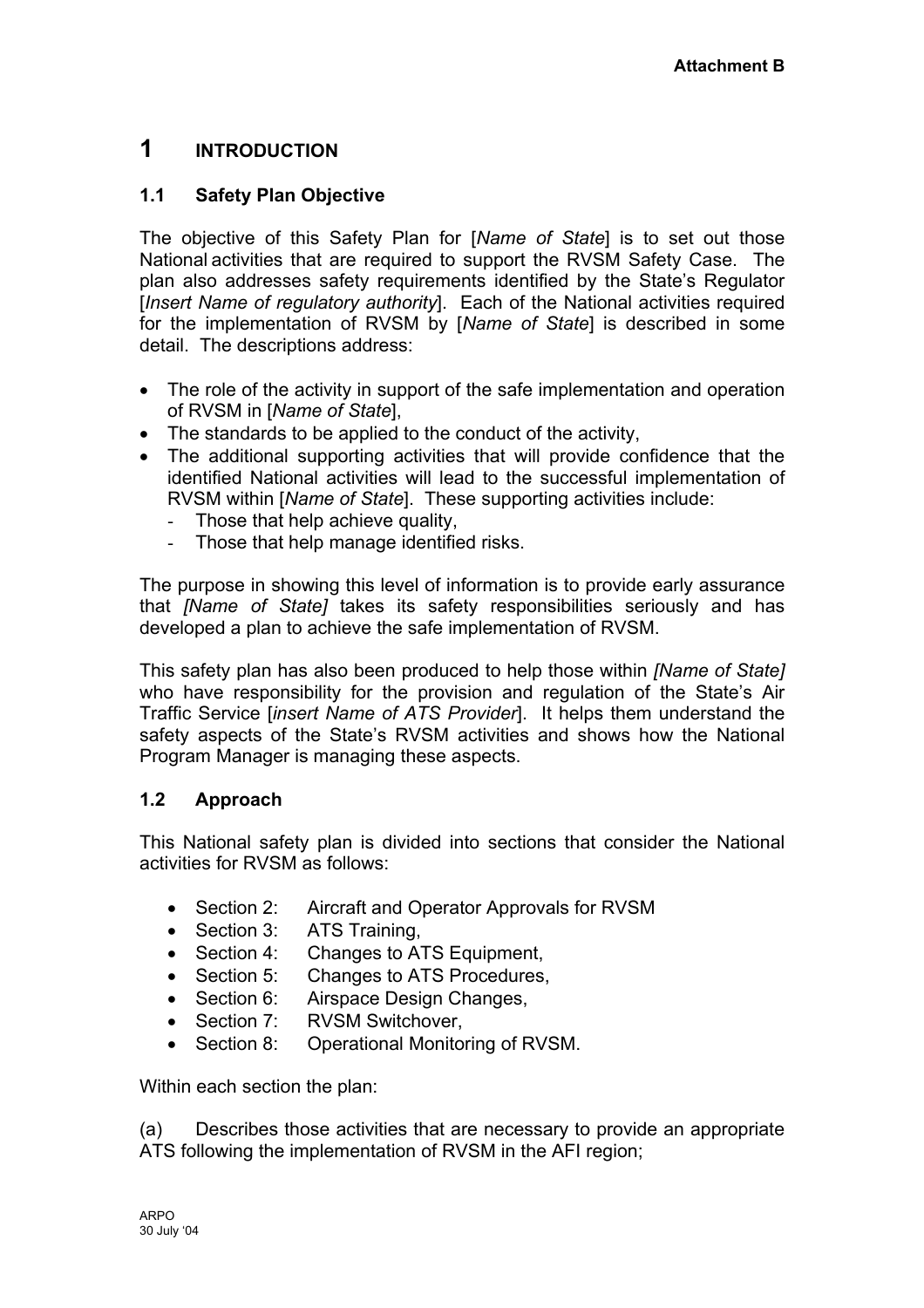# <span id="page-11-0"></span>**1 INTRODUCTION**

# **1.1 Safety Plan Objective**

The objective of this Safety Plan for [*Name of State*] is to set out those National activities that are required to support the RVSM Safety Case. The plan also addresses safety requirements identified by the State's Regulator [*Insert Name of regulatory authority*]. Each of the National activities required for the implementation of RVSM by [*Name of State*] is described in some detail. The descriptions address:

- The role of the activity in support of the safe implementation and operation of RVSM in [*Name of State*],
- The standards to be applied to the conduct of the activity,
- The additional supporting activities that will provide confidence that the identified National activities will lead to the successful implementation of RVSM within [*Name of State*]. These supporting activities include:
	- Those that help achieve quality,
	- Those that help manage identified risks.

The purpose in showing this level of information is to provide early assurance that *[Name of State]* takes its safety responsibilities seriously and has developed a plan to achieve the safe implementation of RVSM.

This safety plan has also been produced to help those within *[Name of State]* who have responsibility for the provision and regulation of the State's Air Traffic Service [*insert Name of ATS Provider*]. It helps them understand the safety aspects of the State's RVSM activities and shows how the National Program Manager is managing these aspects.

# **1.2 Approach**

This National safety plan is divided into sections that consider the National activities for RVSM as follows:

- Section 2: Aircraft and Operator Approvals for RVSM
- Section 3: ATS Training,
- Section 4: Changes to ATS Equipment,
- Section 5: Changes to ATS Procedures,
- Section 6: Airspace Design Changes,
- Section 7: RVSM Switchover,
- Section 8: Operational Monitoring of RVSM.

Within each section the plan:

(a) Describes those activities that are necessary to provide an appropriate ATS following the implementation of RVSM in the AFI region;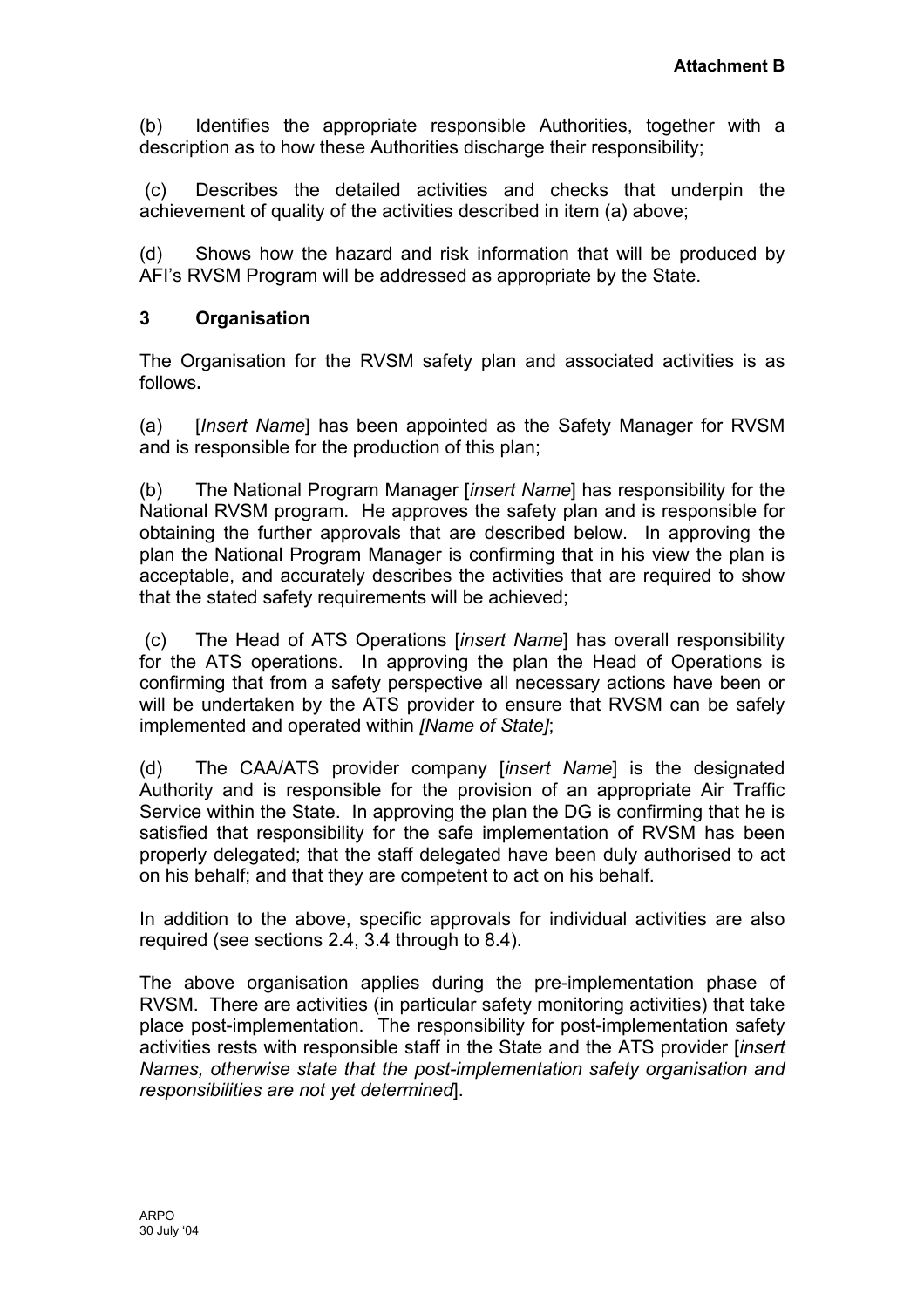(b) Identifies the appropriate responsible Authorities, together with a description as to how these Authorities discharge their responsibility;

(c) Describes the detailed activities and checks that underpin the achievement of quality of the activities described in item (a) above;

(d) Shows how the hazard and risk information that will be produced by AFI's RVSM Program will be addressed as appropriate by the State.

#### **3 Organisation**

The Organisation for the RVSM safety plan and associated activities is as follows**.**

(a) [*Insert Name*] has been appointed as the Safety Manager for RVSM and is responsible for the production of this plan;

(b) The National Program Manager [*insert Name*] has responsibility for the National RVSM program. He approves the safety plan and is responsible for obtaining the further approvals that are described below. In approving the plan the National Program Manager is confirming that in his view the plan is acceptable, and accurately describes the activities that are required to show that the stated safety requirements will be achieved;

(c) The Head of ATS Operations [*insert Name*] has overall responsibility for the ATS operations. In approving the plan the Head of Operations is confirming that from a safety perspective all necessary actions have been or will be undertaken by the ATS provider to ensure that RVSM can be safely implemented and operated within *[Name of State]*;

(d) The CAA/ATS provider company [*insert Name*] is the designated Authority and is responsible for the provision of an appropriate Air Traffic Service within the State. In approving the plan the DG is confirming that he is satisfied that responsibility for the safe implementation of RVSM has been properly delegated; that the staff delegated have been duly authorised to act on his behalf; and that they are competent to act on his behalf.

In addition to the above, specific approvals for individual activities are also required (see sections 2.4, 3.4 through to 8.4).

The above organisation applies during the pre-implementation phase of RVSM. There are activities (in particular safety monitoring activities) that take place post-implementation. The responsibility for post-implementation safety activities rests with responsible staff in the State and the ATS provider [*insert Names, otherwise state that the post-implementation safety organisation and responsibilities are not yet determined*].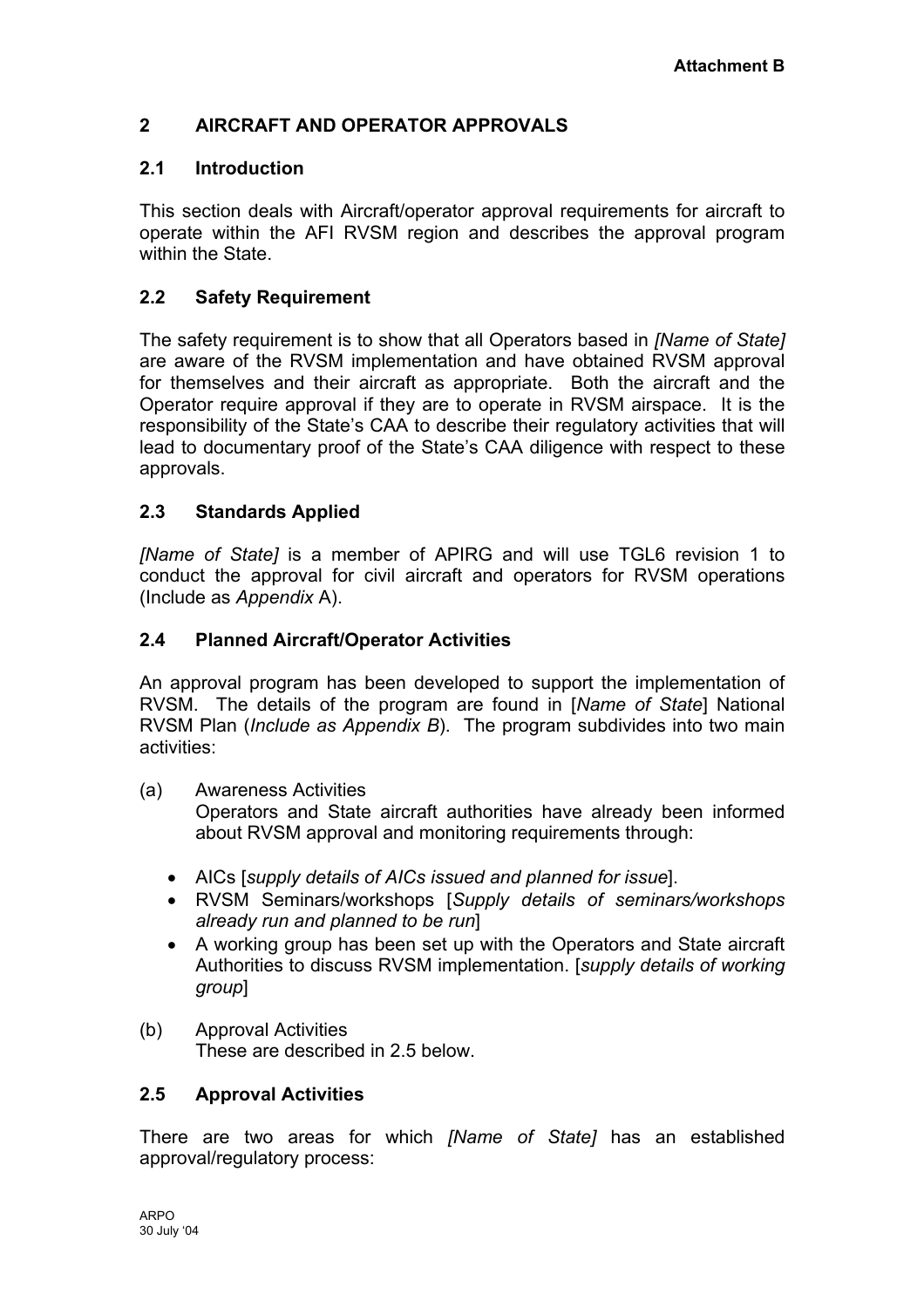# <span id="page-13-0"></span>**2 AIRCRAFT AND OPERATOR APPROVALS**

# **2.1 Introduction**

This section deals with Aircraft/operator approval requirements for aircraft to operate within the AFI RVSM region and describes the approval program within the State.

# **2.2 Safety Requirement**

The safety requirement is to show that all Operators based in *[Name of State]* are aware of the RVSM implementation and have obtained RVSM approval for themselves and their aircraft as appropriate. Both the aircraft and the Operator require approval if they are to operate in RVSM airspace. It is the responsibility of the State's CAA to describe their regulatory activities that will lead to documentary proof of the State's CAA diligence with respect to these approvals.

### **2.3 Standards Applied**

*[Name of State]* is a member of APIRG and will use TGL6 revision 1 to conduct the approval for civil aircraft and operators for RVSM operations (Include as *Appendix* A).

### **2.4 Planned Aircraft/Operator Activities**

An approval program has been developed to support the implementation of RVSM. The details of the program are found in [*Name of State*] National RVSM Plan (*Include as Appendix B*). The program subdivides into two main activities:

(a) Awareness Activities

Operators and State aircraft authorities have already been informed about RVSM approval and monitoring requirements through:

- AICs [*supply details of AICs issued and planned for issue*].
- RVSM Seminars/workshops [*Supply details of seminars/workshops already run and planned to be run*]
- A working group has been set up with the Operators and State aircraft Authorities to discuss RVSM implementation. [*supply details of working group*]
- (b) Approval Activities These are described in 2.5 below.

#### **2.5 Approval Activities**

There are two areas for which *[Name of State]* has an established approval/regulatory process: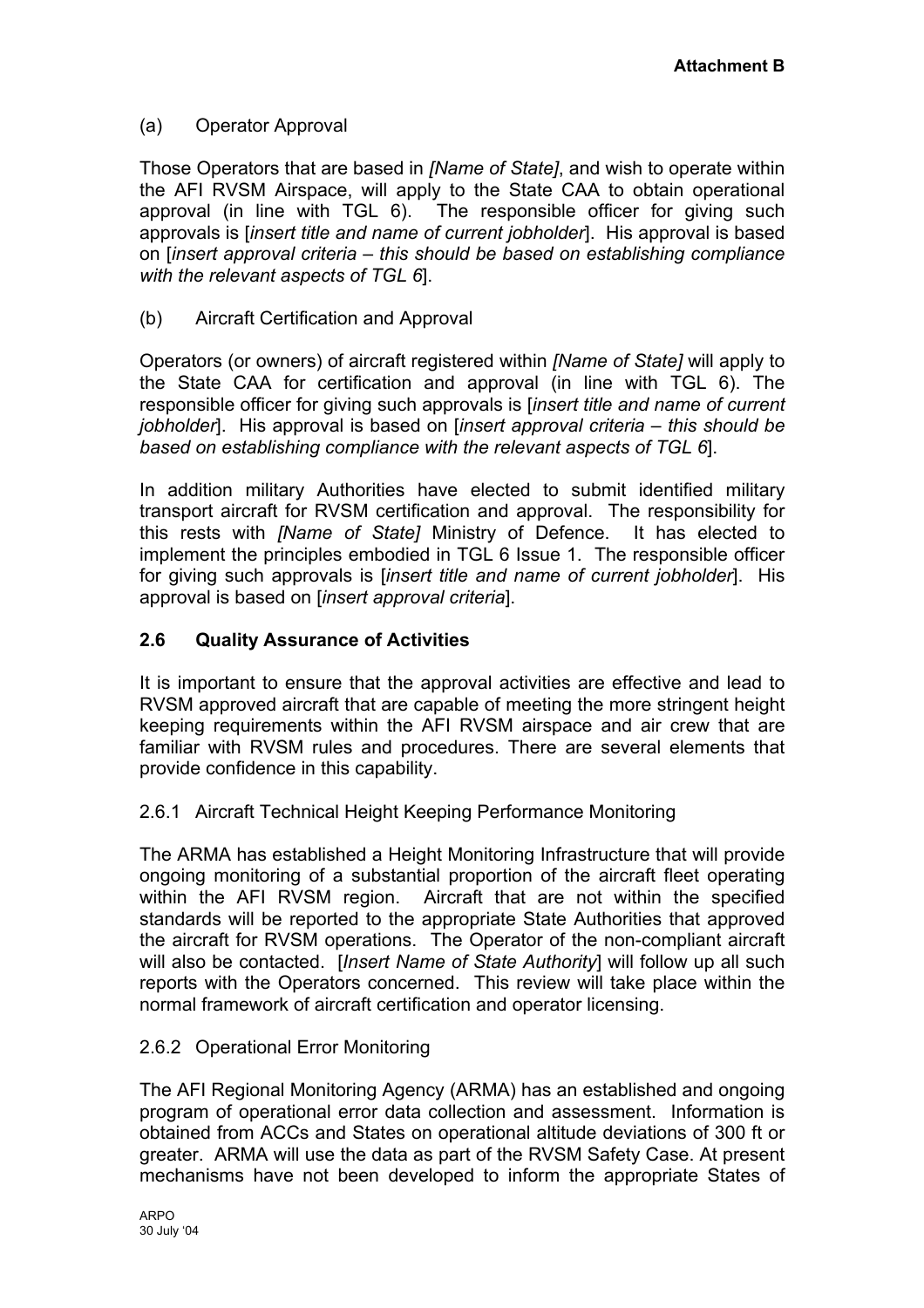# (a) Operator Approval

Those Operators that are based in *[Name of State]*, and wish to operate within the AFI RVSM Airspace, will apply to the State CAA to obtain operational approval (in line with TGL 6). The responsible officer for giving such approvals is [*insert title and name of current jobholder*]. His approval is based on [*insert approval criteria – this should be based on establishing compliance with the relevant aspects of TGL 6*].

(b) Aircraft Certification and Approval

Operators (or owners) of aircraft registered within *[Name of State]* will apply to the State CAA for certification and approval (in line with TGL 6). The responsible officer for giving such approvals is [*insert title and name of current jobholder*]. His approval is based on [*insert approval criteria – this should be based on establishing compliance with the relevant aspects of TGL 6*].

In addition military Authorities have elected to submit identified military transport aircraft for RVSM certification and approval. The responsibility for this rests with *[Name of State]* Ministry of Defence. It has elected to implement the principles embodied in TGL 6 Issue 1. The responsible officer for giving such approvals is [*insert title and name of current jobholder*]. His approval is based on [*insert approval criteria*].

# **2.6 Quality Assurance of Activities**

It is important to ensure that the approval activities are effective and lead to RVSM approved aircraft that are capable of meeting the more stringent height keeping requirements within the AFI RVSM airspace and air crew that are familiar with RVSM rules and procedures. There are several elements that provide confidence in this capability.

# 2.6.1 Aircraft Technical Height Keeping Performance Monitoring

The ARMA has established a Height Monitoring Infrastructure that will provide ongoing monitoring of a substantial proportion of the aircraft fleet operating within the AFI RVSM region. Aircraft that are not within the specified standards will be reported to the appropriate State Authorities that approved the aircraft for RVSM operations. The Operator of the non-compliant aircraft will also be contacted. [*Insert Name of State Authority*] will follow up all such reports with the Operators concerned. This review will take place within the normal framework of aircraft certification and operator licensing.

# 2.6.2 Operational Error Monitoring

The AFI Regional Monitoring Agency (ARMA) has an established and ongoing program of operational error data collection and assessment. Information is obtained from ACCs and States on operational altitude deviations of 300 ft or greater. ARMA will use the data as part of the RVSM Safety Case. At present mechanisms have not been developed to inform the appropriate States of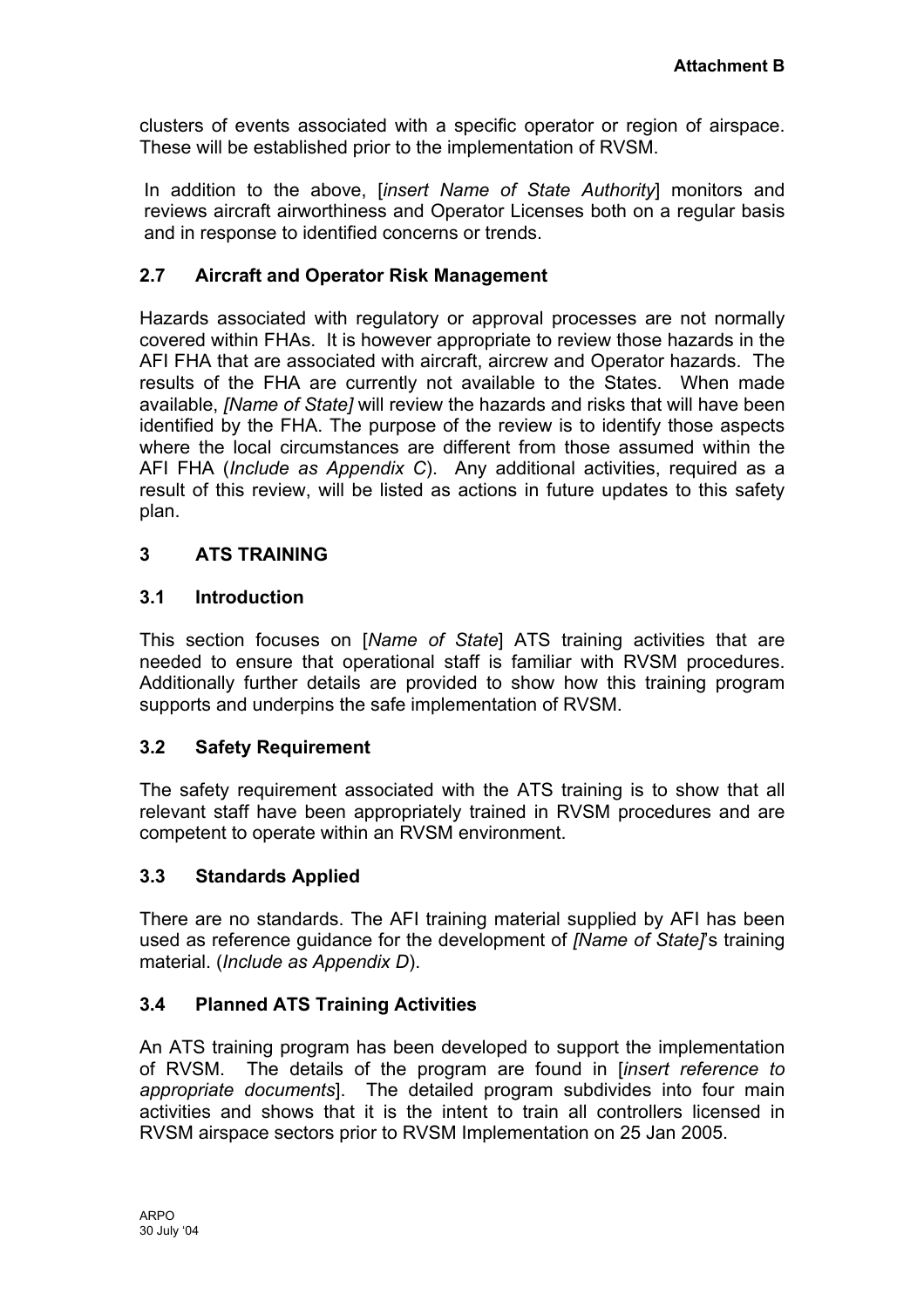<span id="page-15-0"></span>clusters of events associated with a specific operator or region of airspace. These will be established prior to the implementation of RVSM.

In addition to the above, [*insert Name of State Authority*] monitors and reviews aircraft airworthiness and Operator Licenses both on a regular basis and in response to identified concerns or trends.

# **2.7 Aircraft and Operator Risk Management**

Hazards associated with regulatory or approval processes are not normally covered within FHAs. It is however appropriate to review those hazards in the AFI FHA that are associated with aircraft, aircrew and Operator hazards. The results of the FHA are currently not available to the States. When made available, *[Name of State]* will review the hazards and risks that will have been identified by the FHA. The purpose of the review is to identify those aspects where the local circumstances are different from those assumed within the AFI FHA (*Include as Appendix C*). Any additional activities, required as a result of this review, will be listed as actions in future updates to this safety plan.

### **3 ATS TRAINING**

#### **3.1 Introduction**

This section focuses on [*Name of State*] ATS training activities that are needed to ensure that operational staff is familiar with RVSM procedures. Additionally further details are provided to show how this training program supports and underpins the safe implementation of RVSM.

# **3.2 Safety Requirement**

The safety requirement associated with the ATS training is to show that all relevant staff have been appropriately trained in RVSM procedures and are competent to operate within an RVSM environment.

#### **3.3 Standards Applied**

There are no standards. The AFI training material supplied by AFI has been used as reference guidance for the development of *[Name of State]*'s training material. (*Include as Appendix D*).

# **3.4 Planned ATS Training Activities**

An ATS training program has been developed to support the implementation of RVSM. The details of the program are found in [*insert reference to appropriate documents*]. The detailed program subdivides into four main activities and shows that it is the intent to train all controllers licensed in RVSM airspace sectors prior to RVSM Implementation on 25 Jan 2005.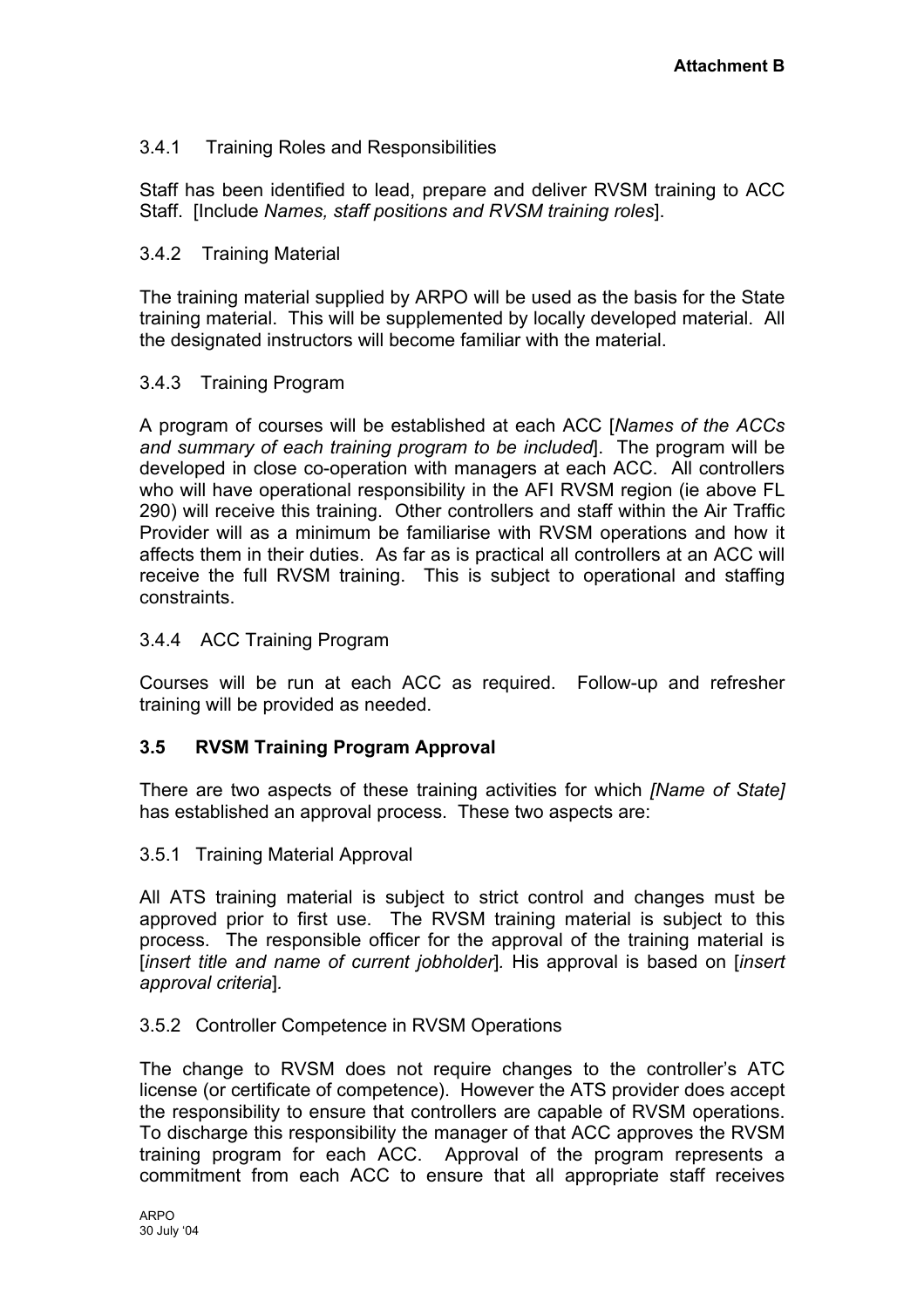# 3.4.1 Training Roles and Responsibilities

Staff has been identified to lead, prepare and deliver RVSM training to ACC Staff. [Include *Names, staff positions and RVSM training roles*].

#### 3.4.2 Training Material

The training material supplied by ARPO will be used as the basis for the State training material. This will be supplemented by locally developed material. All the designated instructors will become familiar with the material.

### 3.4.3 Training Program

A program of courses will be established at each ACC [*Names of the ACCs and summary of each training program to be included*]. The program will be developed in close co-operation with managers at each ACC. All controllers who will have operational responsibility in the AFI RVSM region (ie above FL 290) will receive this training. Other controllers and staff within the Air Traffic Provider will as a minimum be familiarise with RVSM operations and how it affects them in their duties. As far as is practical all controllers at an ACC will receive the full RVSM training. This is subject to operational and staffing constraints.

### 3.4.4 ACC Training Program

Courses will be run at each ACC as required. Follow-up and refresher training will be provided as needed.

# **3.5 RVSM Training Program Approval**

There are two aspects of these training activities for which *[Name of State]* has established an approval process. These two aspects are:

#### 3.5.1 Training Material Approval

All ATS training material is subject to strict control and changes must be approved prior to first use. The RVSM training material is subject to this process. The responsible officer for the approval of the training material is [*insert title and name of current jobholder*]*.* His approval is based on [*insert approval criteria*]*.* 

#### 3.5.2 Controller Competence in RVSM Operations

The change to RVSM does not require changes to the controller's ATC license (or certificate of competence). However the ATS provider does accept the responsibility to ensure that controllers are capable of RVSM operations. To discharge this responsibility the manager of that ACC approves the RVSM training program for each ACC. Approval of the program represents a commitment from each ACC to ensure that all appropriate staff receives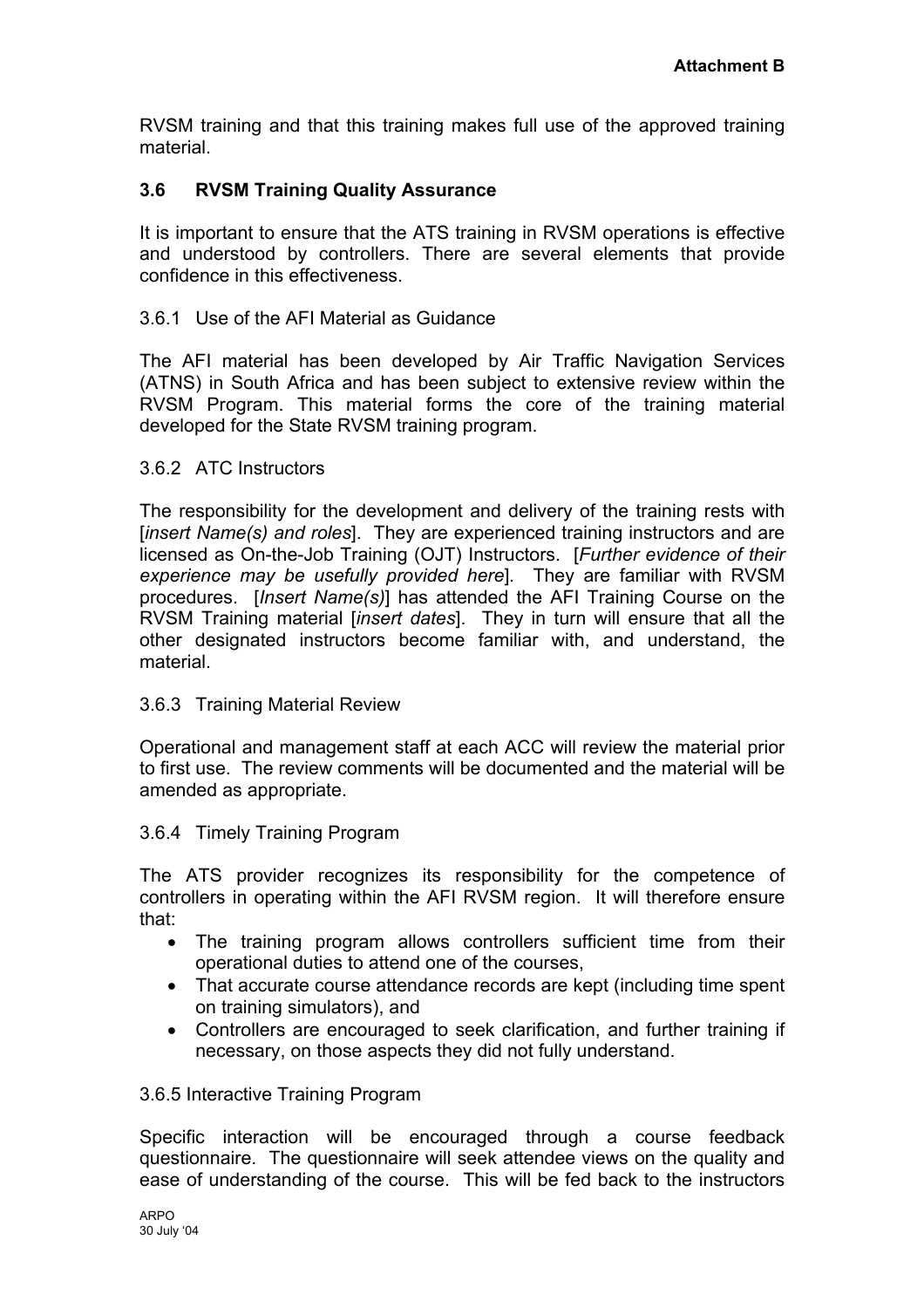RVSM training and that this training makes full use of the approved training material.

# **3.6 RVSM Training Quality Assurance**

It is important to ensure that the ATS training in RVSM operations is effective and understood by controllers. There are several elements that provide confidence in this effectiveness.

#### 3.6.1 Use of the AFI Material as Guidance

The AFI material has been developed by Air Traffic Navigation Services (ATNS) in South Africa and has been subject to extensive review within the RVSM Program. This material forms the core of the training material developed for the State RVSM training program.

#### 3.6.2 ATC Instructors

The responsibility for the development and delivery of the training rests with [*insert Name(s) and roles*]. They are experienced training instructors and are licensed as On-the-Job Training (OJT) Instructors. [*Further evidence of their experience may be usefully provided here*]*.* They are familiar with RVSM procedures. [*Insert Name(s)*] has attended the AFI Training Course on the RVSM Training material [*insert dates*]. They in turn will ensure that all the other designated instructors become familiar with, and understand, the material.

#### 3.6.3 Training Material Review

Operational and management staff at each ACC will review the material prior to first use. The review comments will be documented and the material will be amended as appropriate.

#### 3.6.4 Timely Training Program

The ATS provider recognizes its responsibility for the competence of controllers in operating within the AFI RVSM region. It will therefore ensure that:

- The training program allows controllers sufficient time from their operational duties to attend one of the courses,
- That accurate course attendance records are kept (including time spent on training simulators), and
- Controllers are encouraged to seek clarification, and further training if necessary, on those aspects they did not fully understand.

#### 3.6.5 Interactive Training Program

Specific interaction will be encouraged through a course feedback questionnaire. The questionnaire will seek attendee views on the quality and ease of understanding of the course. This will be fed back to the instructors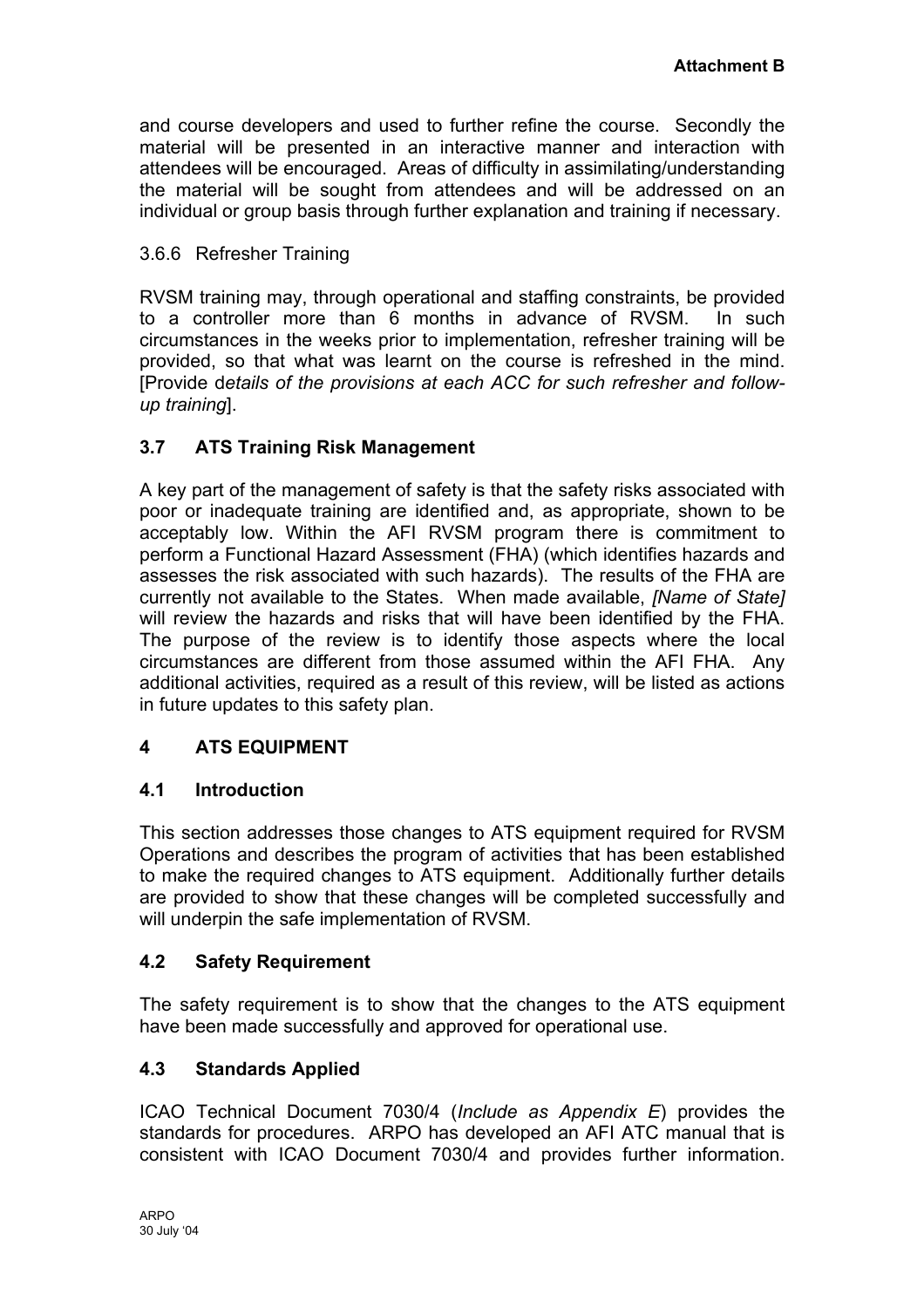<span id="page-18-0"></span>and course developers and used to further refine the course. Secondly the material will be presented in an interactive manner and interaction with attendees will be encouraged. Areas of difficulty in assimilating/understanding the material will be sought from attendees and will be addressed on an individual or group basis through further explanation and training if necessary.

# 3.6.6 Refresher Training

RVSM training may, through operational and staffing constraints, be provided to a controller more than 6 months in advance of RVSM. In such circumstances in the weeks prior to implementation, refresher training will be provided, so that what was learnt on the course is refreshed in the mind. [Provide d*etails of the provisions at each ACC for such refresher and followup training*].

# **3.7 ATS Training Risk Management**

A key part of the management of safety is that the safety risks associated with poor or inadequate training are identified and, as appropriate, shown to be acceptably low. Within the AFI RVSM program there is commitment to perform a Functional Hazard Assessment (FHA) (which identifies hazards and assesses the risk associated with such hazards). The results of the FHA are currently not available to the States. When made available, *[Name of State]* will review the hazards and risks that will have been identified by the FHA. The purpose of the review is to identify those aspects where the local circumstances are different from those assumed within the AFI FHA. Any additional activities, required as a result of this review, will be listed as actions in future updates to this safety plan.

# **4 ATS EQUIPMENT**

#### **4.1 Introduction**

This section addresses those changes to ATS equipment required for RVSM Operations and describes the program of activities that has been established to make the required changes to ATS equipment. Additionally further details are provided to show that these changes will be completed successfully and will underpin the safe implementation of RVSM.

#### **4.2 Safety Requirement**

The safety requirement is to show that the changes to the ATS equipment have been made successfully and approved for operational use.

# **4.3 Standards Applied**

ICAO Technical Document 7030/4 (*Include as Appendix E*) provides the standards for procedures. ARPO has developed an AFI ATC manual that is consistent with ICAO Document 7030/4 and provides further information.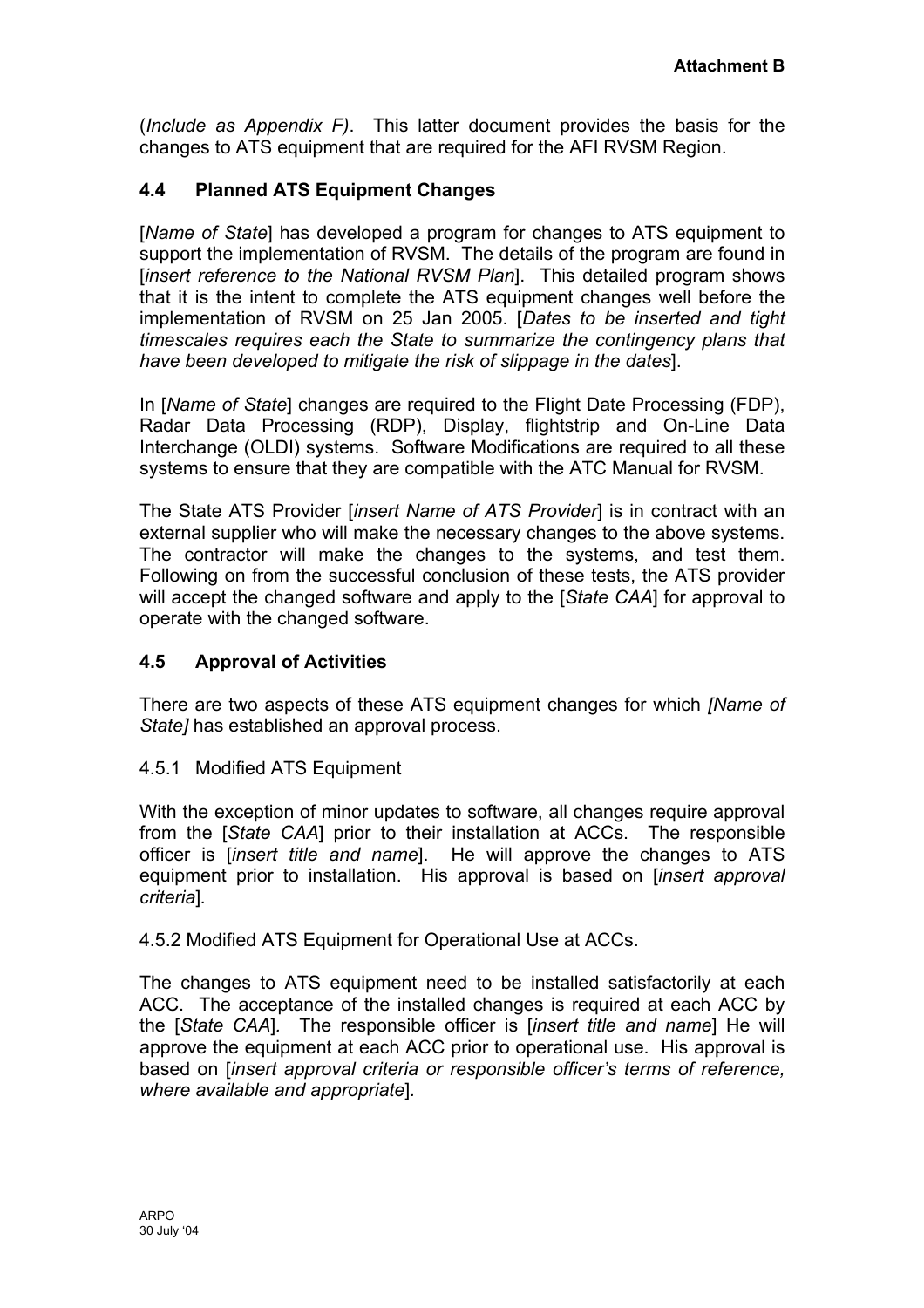(*Include as Appendix F)*. This latter document provides the basis for the changes to ATS equipment that are required for the AFI RVSM Region.

# **4.4 Planned ATS Equipment Changes**

[*Name of State*] has developed a program for changes to ATS equipment to support the implementation of RVSM. The details of the program are found in [*insert reference to the National RVSM Plan*]. This detailed program shows that it is the intent to complete the ATS equipment changes well before the implementation of RVSM on 25 Jan 2005. [*Dates to be inserted and tight timescales requires each the State to summarize the contingency plans that have been developed to mitigate the risk of slippage in the dates*].

In [*Name of State*] changes are required to the Flight Date Processing (FDP), Radar Data Processing (RDP), Display, flightstrip and On-Line Data Interchange (OLDI) systems. Software Modifications are required to all these systems to ensure that they are compatible with the ATC Manual for RVSM.

The State ATS Provider [*insert Name of ATS Provider*] is in contract with an external supplier who will make the necessary changes to the above systems. The contractor will make the changes to the systems, and test them. Following on from the successful conclusion of these tests, the ATS provider will accept the changed software and apply to the [*State CAA*] for approval to operate with the changed software.

# **4.5 Approval of Activities**

There are two aspects of these ATS equipment changes for which *[Name of State]* has established an approval process.

#### 4.5.1 Modified ATS Equipment

With the exception of minor updates to software, all changes require approval from the [*State CAA*] prior to their installation at ACCs. The responsible officer is [*insert title and name*]. He will approve the changes to ATS equipment prior to installation. His approval is based on [*insert approval criteria*]*.* 

4.5.2 Modified ATS Equipment for Operational Use at ACCs.

The changes to ATS equipment need to be installed satisfactorily at each ACC. The acceptance of the installed changes is required at each ACC by the [*State CAA*]*.* The responsible officer is [*insert title and name*] He will approve the equipment at each ACC prior to operational use. His approval is based on [*insert approval criteria or responsible officer's terms of reference, where available and appropriate*]*.*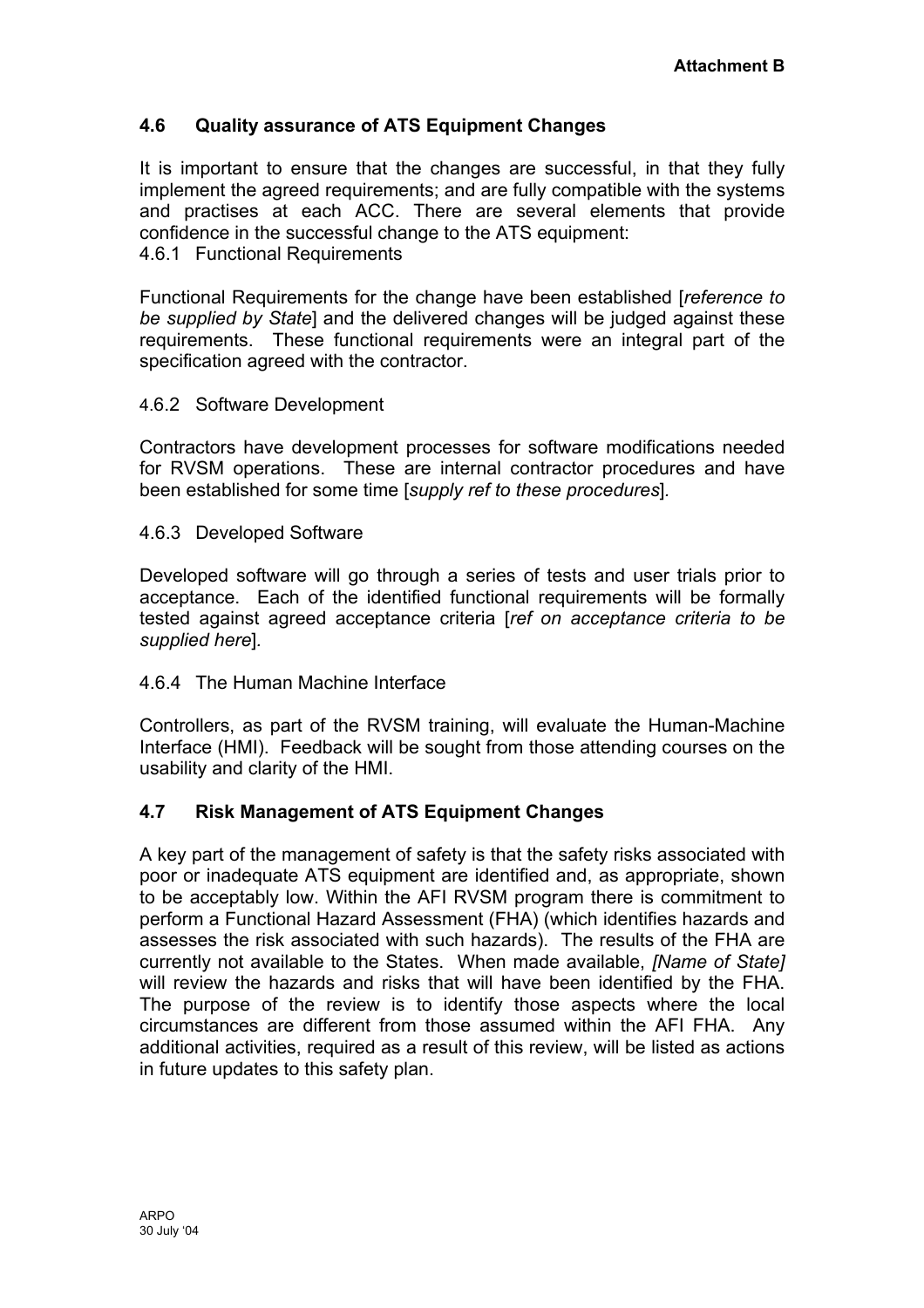# **4.6 Quality assurance of ATS Equipment Changes**

It is important to ensure that the changes are successful, in that they fully implement the agreed requirements; and are fully compatible with the systems and practises at each ACC. There are several elements that provide confidence in the successful change to the ATS equipment: 4.6.1 Functional Requirements

Functional Requirements for the change have been established [*reference to be supplied by State*] and the delivered changes will be judged against these requirements. These functional requirements were an integral part of the specification agreed with the contractor.

#### 4.6.2 Software Development

Contractors have development processes for software modifications needed for RVSM operations. These are internal contractor procedures and have been established for some time [*supply ref to these procedures*]*.* 

#### 4.6.3 Developed Software

Developed software will go through a series of tests and user trials prior to acceptance. Each of the identified functional requirements will be formally tested against agreed acceptance criteria [*ref on acceptance criteria to be supplied here*]*.* 

#### 4.6.4 The Human Machine Interface

Controllers, as part of the RVSM training, will evaluate the Human-Machine Interface (HMI). Feedback will be sought from those attending courses on the usability and clarity of the HMI.

#### **4.7 Risk Management of ATS Equipment Changes**

A key part of the management of safety is that the safety risks associated with poor or inadequate ATS equipment are identified and, as appropriate, shown to be acceptably low. Within the AFI RVSM program there is commitment to perform a Functional Hazard Assessment (FHA) (which identifies hazards and assesses the risk associated with such hazards). The results of the FHA are currently not available to the States. When made available, *[Name of State]* will review the hazards and risks that will have been identified by the FHA. The purpose of the review is to identify those aspects where the local circumstances are different from those assumed within the AFI FHA. Any additional activities, required as a result of this review, will be listed as actions in future updates to this safety plan.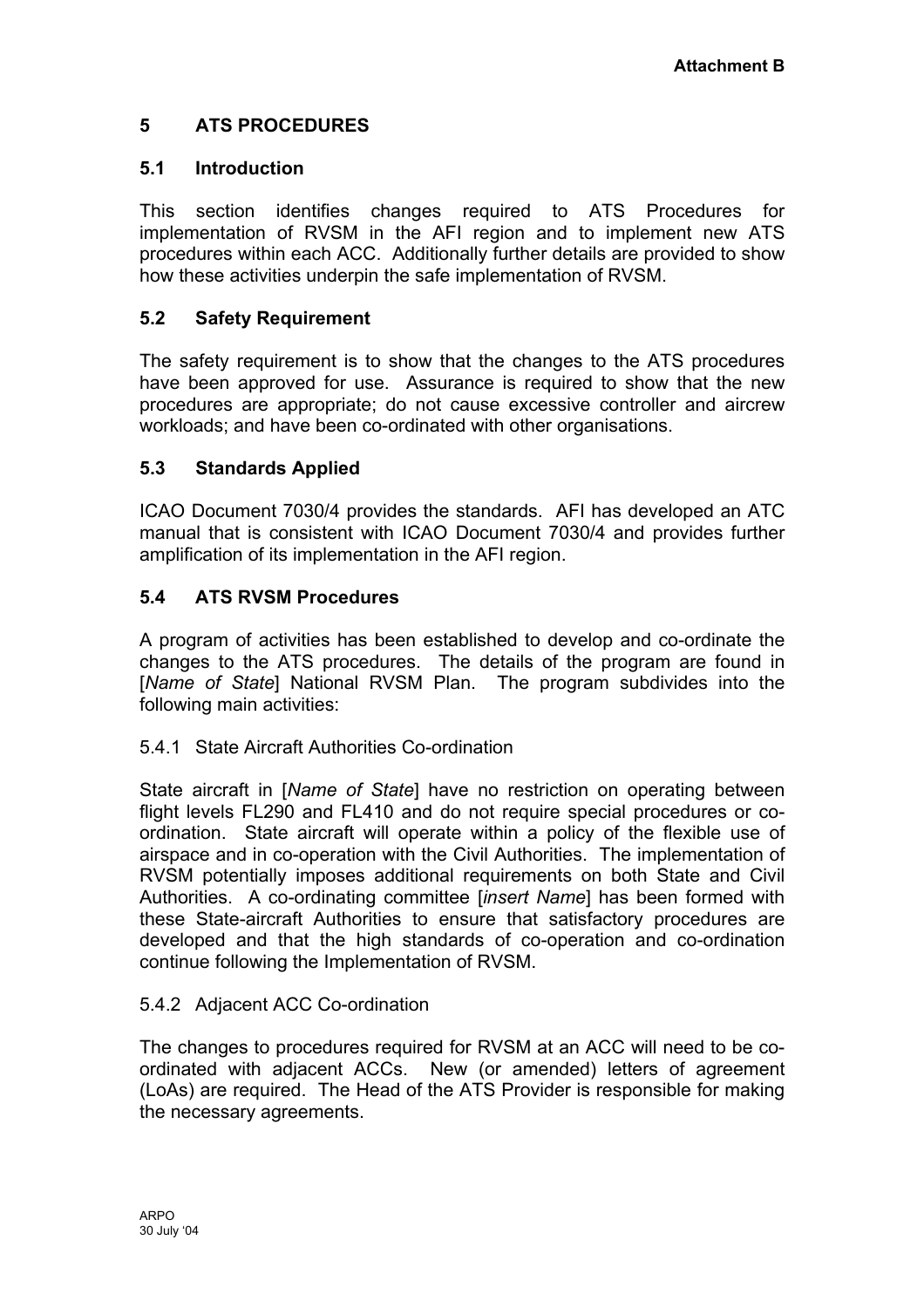# <span id="page-21-0"></span>**5 ATS PROCEDURES**

# **5.1 Introduction**

This section identifies changes required to ATS Procedures for implementation of RVSM in the AFI region and to implement new ATS procedures within each ACC. Additionally further details are provided to show how these activities underpin the safe implementation of RVSM.

# **5.2 Safety Requirement**

The safety requirement is to show that the changes to the ATS procedures have been approved for use. Assurance is required to show that the new procedures are appropriate; do not cause excessive controller and aircrew workloads; and have been co-ordinated with other organisations.

# **5.3 Standards Applied**

ICAO Document 7030/4 provides the standards. AFI has developed an ATC manual that is consistent with ICAO Document 7030/4 and provides further amplification of its implementation in the AFI region.

# **5.4 ATS RVSM Procedures**

A program of activities has been established to develop and co-ordinate the changes to the ATS procedures. The details of the program are found in [*Name of State*] National RVSM Plan. The program subdivides into the following main activities:

# 5.4.1 State Aircraft Authorities Co-ordination

State aircraft in [*Name of State*] have no restriction on operating between flight levels FL290 and FL410 and do not require special procedures or coordination. State aircraft will operate within a policy of the flexible use of airspace and in co-operation with the Civil Authorities. The implementation of RVSM potentially imposes additional requirements on both State and Civil Authorities. A co-ordinating committee [*insert Name*] has been formed with these State-aircraft Authorities to ensure that satisfactory procedures are developed and that the high standards of co-operation and co-ordination continue following the Implementation of RVSM.

# 5.4.2 Adjacent ACC Co-ordination

The changes to procedures required for RVSM at an ACC will need to be coordinated with adjacent ACCs. New (or amended) letters of agreement (LoAs) are required. The Head of the ATS Provider is responsible for making the necessary agreements.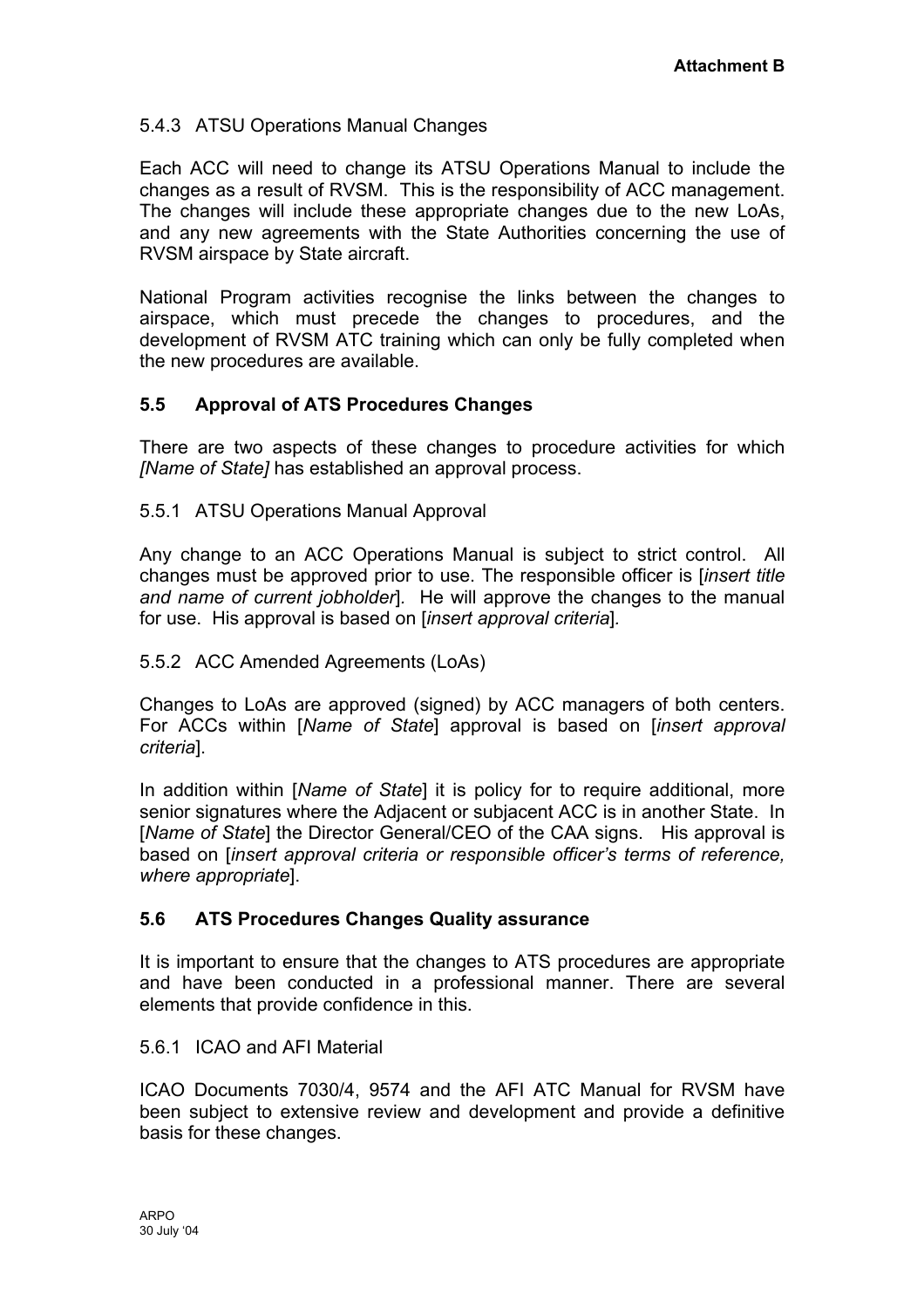# 5.4.3 ATSU Operations Manual Changes

Each ACC will need to change its ATSU Operations Manual to include the changes as a result of RVSM. This is the responsibility of ACC management. The changes will include these appropriate changes due to the new LoAs, and any new agreements with the State Authorities concerning the use of RVSM airspace by State aircraft.

National Program activities recognise the links between the changes to airspace, which must precede the changes to procedures, and the development of RVSM ATC training which can only be fully completed when the new procedures are available.

# **5.5 Approval of ATS Procedures Changes**

There are two aspects of these changes to procedure activities for which *[Name of State]* has established an approval process.

5.5.1 ATSU Operations Manual Approval

Any change to an ACC Operations Manual is subject to strict control. All changes must be approved prior to use. The responsible officer is [*insert title and name of current jobholder*]*.* He will approve the changes to the manual for use. His approval is based on [*insert approval criteria*]*.* 

#### 5.5.2 ACC Amended Agreements (LoAs)

Changes to LoAs are approved (signed) by ACC managers of both centers. For ACCs within [*Name of State*] approval is based on [*insert approval criteria*].

In addition within [*Name of State*] it is policy for to require additional, more senior signatures where the Adjacent or subjacent ACC is in another State. In [*Name of State*] the Director General/CEO of the CAA signs. His approval is based on [*insert approval criteria or responsible officer's terms of reference, where appropriate*].

# **5.6 ATS Procedures Changes Quality assurance**

It is important to ensure that the changes to ATS procedures are appropriate and have been conducted in a professional manner. There are several elements that provide confidence in this.

#### 5.6.1 ICAO and AFI Material

ICAO Documents 7030/4, 9574 and the AFI ATC Manual for RVSM have been subject to extensive review and development and provide a definitive basis for these changes.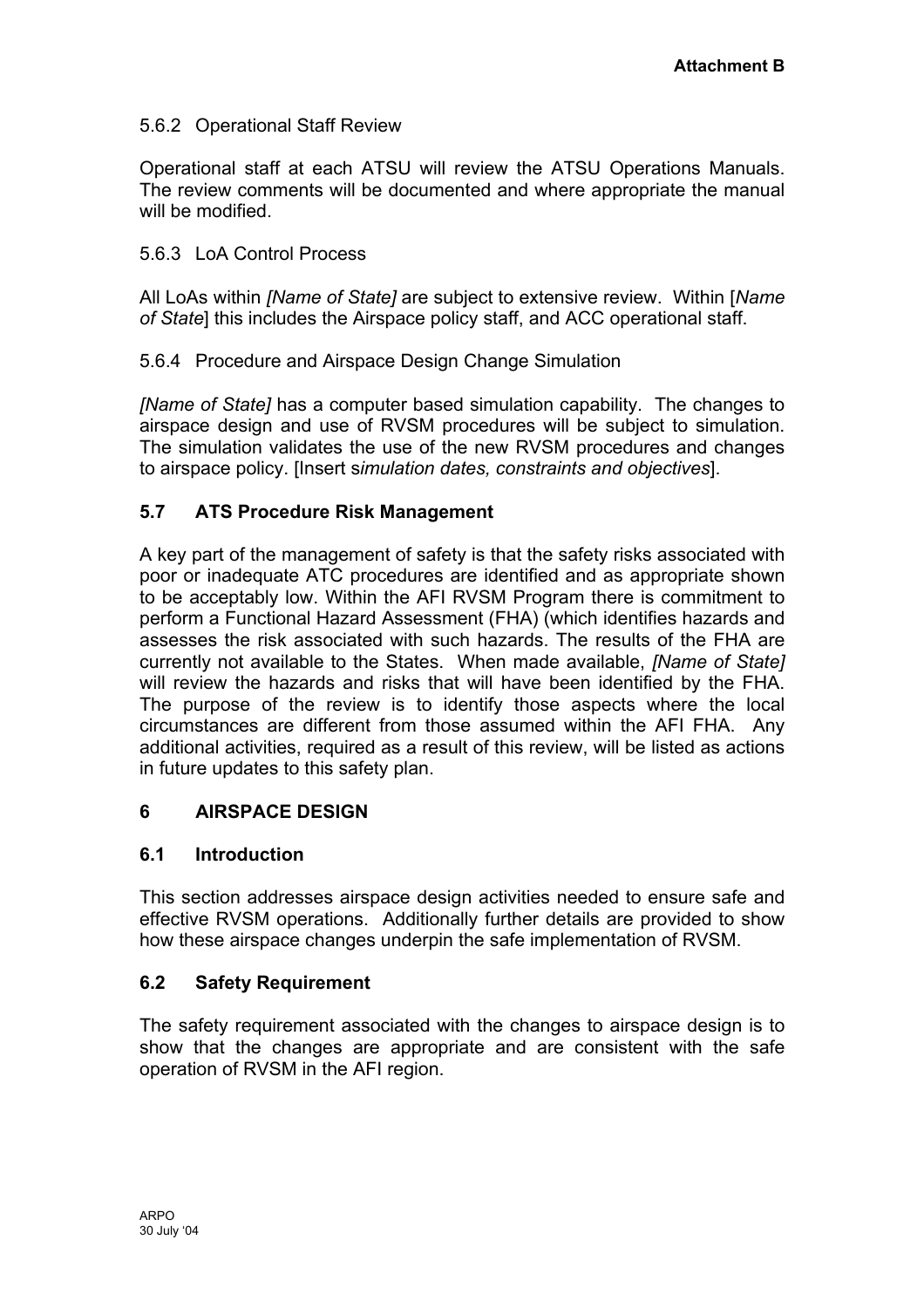# <span id="page-23-0"></span>5.6.2 Operational Staff Review

Operational staff at each ATSU will review the ATSU Operations Manuals. The review comments will be documented and where appropriate the manual will be modified.

### 5.6.3 LoA Control Process

All LoAs within *[Name of State]* are subject to extensive review. Within [*Name of State*] this includes the Airspace policy staff, and ACC operational staff.

5.6.4 Procedure and Airspace Design Change Simulation

*[Name of State]* has a computer based simulation capability. The changes to airspace design and use of RVSM procedures will be subject to simulation. The simulation validates the use of the new RVSM procedures and changes to airspace policy. [Insert s*imulation dates, constraints and objectives*].

# **5.7 ATS Procedure Risk Management**

A key part of the management of safety is that the safety risks associated with poor or inadequate ATC procedures are identified and as appropriate shown to be acceptably low. Within the AFI RVSM Program there is commitment to perform a Functional Hazard Assessment (FHA) (which identifies hazards and assesses the risk associated with such hazards. The results of the FHA are currently not available to the States. When made available, *[Name of State]* will review the hazards and risks that will have been identified by the FHA. The purpose of the review is to identify those aspects where the local circumstances are different from those assumed within the AFI FHA. Any additional activities, required as a result of this review, will be listed as actions in future updates to this safety plan.

#### **6 AIRSPACE DESIGN**

#### **6.1 Introduction**

This section addresses airspace design activities needed to ensure safe and effective RVSM operations. Additionally further details are provided to show how these airspace changes underpin the safe implementation of RVSM.

# **6.2 Safety Requirement**

The safety requirement associated with the changes to airspace design is to show that the changes are appropriate and are consistent with the safe operation of RVSM in the AFI region.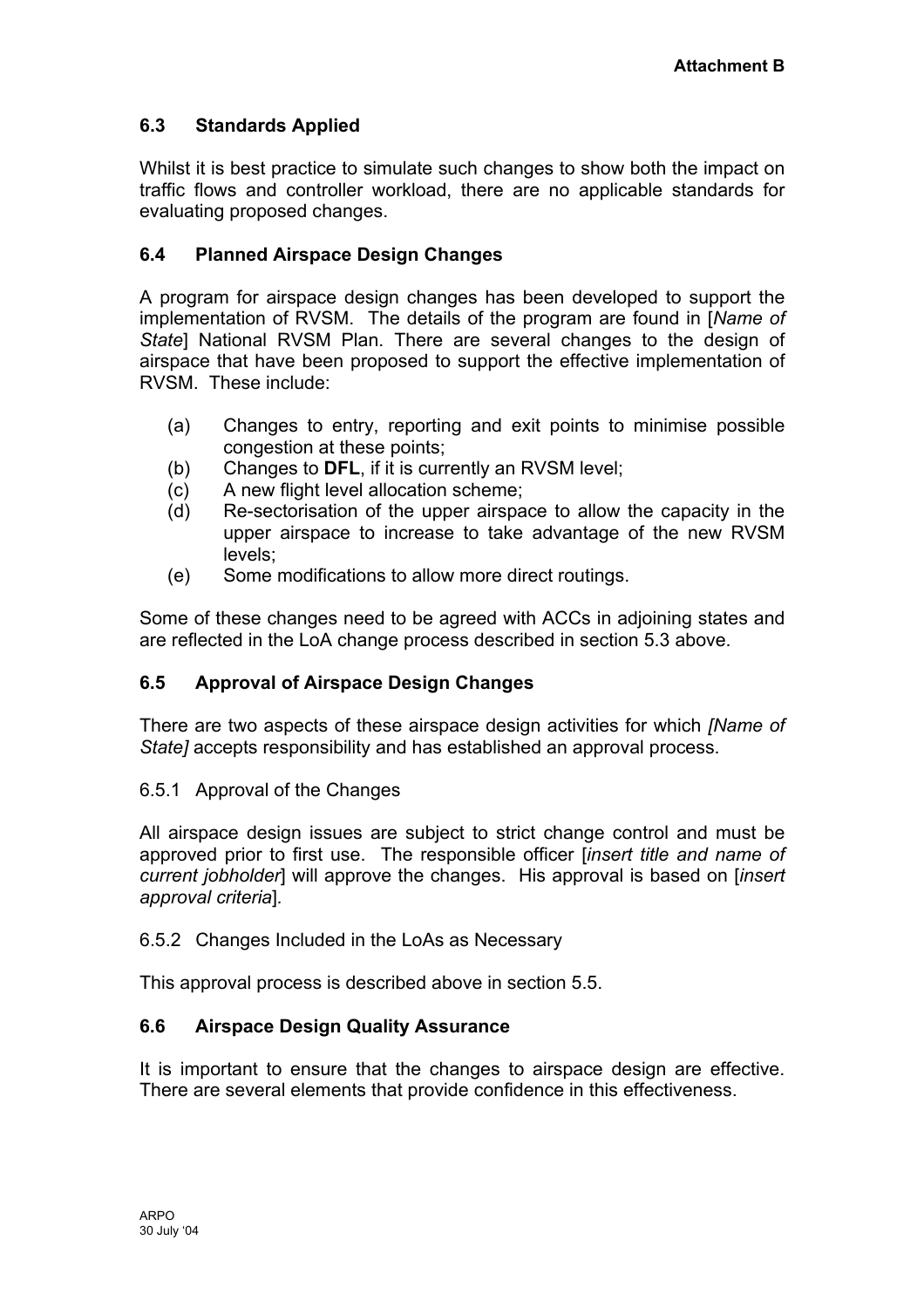# **6.3 Standards Applied**

Whilst it is best practice to simulate such changes to show both the impact on traffic flows and controller workload, there are no applicable standards for evaluating proposed changes.

# **6.4 Planned Airspace Design Changes**

A program for airspace design changes has been developed to support the implementation of RVSM. The details of the program are found in [*Name of State*] National RVSM Plan. There are several changes to the design of airspace that have been proposed to support the effective implementation of RVSM. These include:

- (a) Changes to entry, reporting and exit points to minimise possible congestion at these points;
- (b) Changes to **DFL**, if it is currently an RVSM level;
- (c) A new flight level allocation scheme;
- (d) Re-sectorisation of the upper airspace to allow the capacity in the upper airspace to increase to take advantage of the new RVSM levels;
- (e) Some modifications to allow more direct routings.

Some of these changes need to be agreed with ACCs in adjoining states and are reflected in the LoA change process described in section 5.3 above.

# **6.5 Approval of Airspace Design Changes**

There are two aspects of these airspace design activities for which *[Name of State]* accepts responsibility and has established an approval process.

#### 6.5.1 Approval of the Changes

All airspace design issues are subject to strict change control and must be approved prior to first use. The responsible officer [*insert title and name of current jobholder*] will approve the changes. His approval is based on [*insert approval criteria*]*.* 

#### 6.5.2 Changes Included in the LoAs as Necessary

This approval process is described above in section 5.5.

#### **6.6 Airspace Design Quality Assurance**

It is important to ensure that the changes to airspace design are effective. There are several elements that provide confidence in this effectiveness.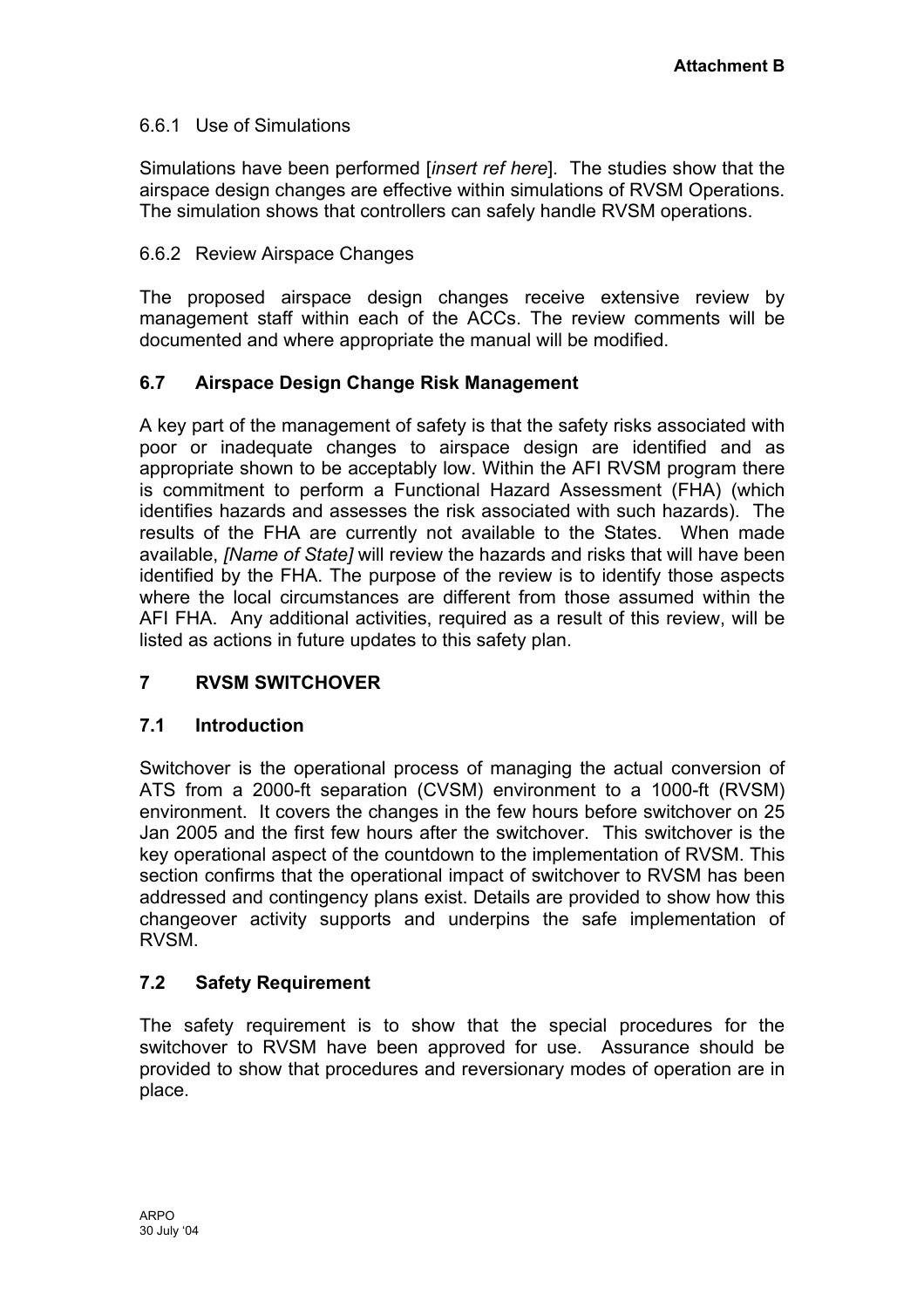# <span id="page-25-0"></span>6.6.1 Use of Simulations

Simulations have been performed [*insert ref here*]. The studies show that the airspace design changes are effective within simulations of RVSM Operations. The simulation shows that controllers can safely handle RVSM operations.

### 6.6.2 Review Airspace Changes

The proposed airspace design changes receive extensive review by management staff within each of the ACCs. The review comments will be documented and where appropriate the manual will be modified.

### **6.7 Airspace Design Change Risk Management**

A key part of the management of safety is that the safety risks associated with poor or inadequate changes to airspace design are identified and as appropriate shown to be acceptably low. Within the AFI RVSM program there is commitment to perform a Functional Hazard Assessment (FHA) (which identifies hazards and assesses the risk associated with such hazards). The results of the FHA are currently not available to the States. When made available, *[Name of State]* will review the hazards and risks that will have been identified by the FHA. The purpose of the review is to identify those aspects where the local circumstances are different from those assumed within the AFI FHA. Any additional activities, required as a result of this review, will be listed as actions in future updates to this safety plan.

# **7 RVSM SWITCHOVER**

#### **7.1 Introduction**

Switchover is the operational process of managing the actual conversion of ATS from a 2000-ft separation (CVSM) environment to a 1000-ft (RVSM) environment. It covers the changes in the few hours before switchover on 25 Jan 2005 and the first few hours after the switchover. This switchover is the key operational aspect of the countdown to the implementation of RVSM. This section confirms that the operational impact of switchover to RVSM has been addressed and contingency plans exist. Details are provided to show how this changeover activity supports and underpins the safe implementation of RVSM.

# **7.2 Safety Requirement**

The safety requirement is to show that the special procedures for the switchover to RVSM have been approved for use. Assurance should be provided to show that procedures and reversionary modes of operation are in place.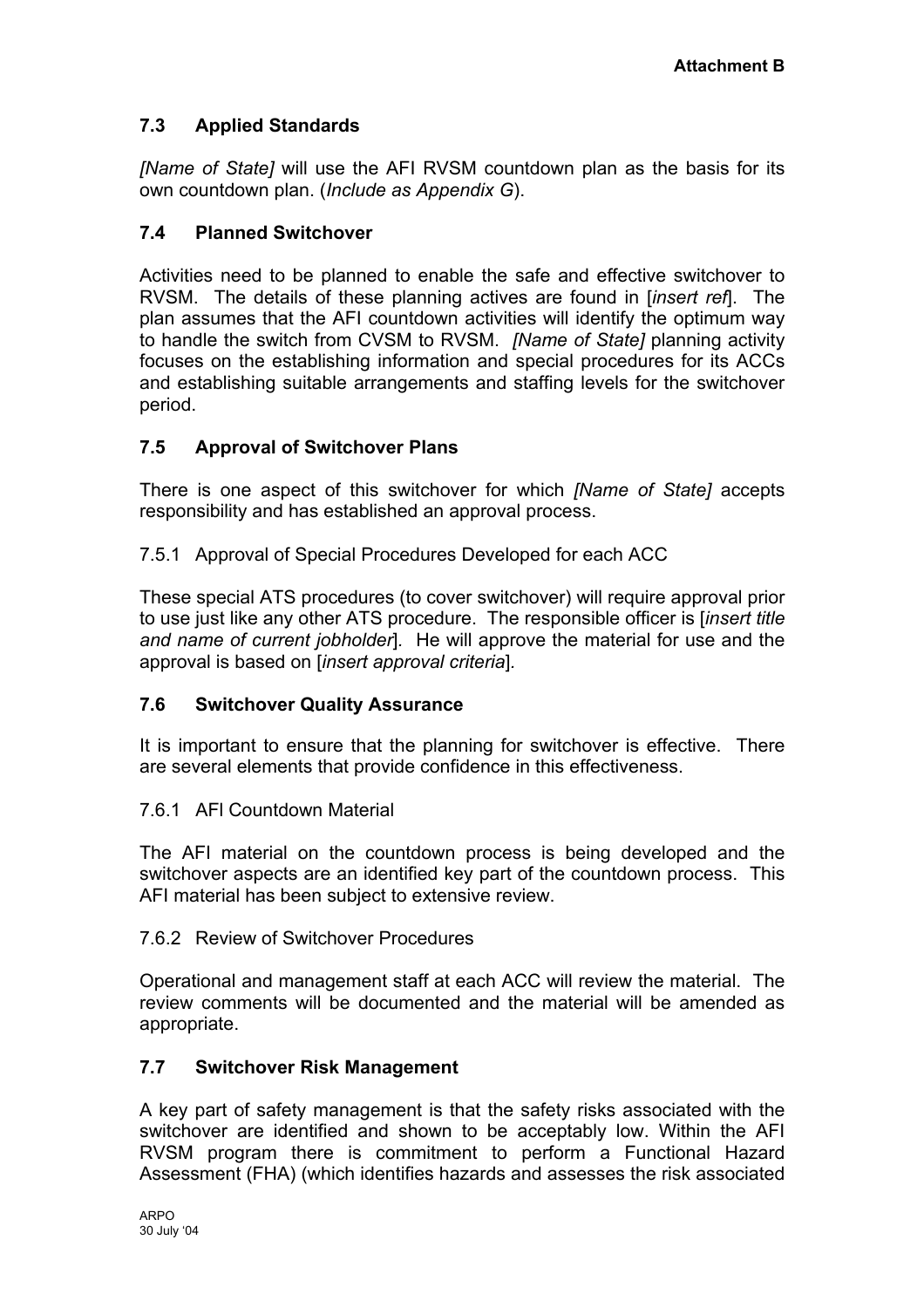# **7.3 Applied Standards**

*[Name of State]* will use the AFI RVSM countdown plan as the basis for its own countdown plan. (*Include as Appendix G*).

# **7.4 Planned Switchover**

Activities need to be planned to enable the safe and effective switchover to RVSM. The details of these planning actives are found in [*insert ref*]. The plan assumes that the AFI countdown activities will identify the optimum way to handle the switch from CVSM to RVSM. *[Name of State]* planning activity focuses on the establishing information and special procedures for its ACCs and establishing suitable arrangements and staffing levels for the switchover period.

# **7.5 Approval of Switchover Plans**

There is one aspect of this switchover for which *[Name of State]* accepts responsibility and has established an approval process.

7.5.1 Approval of Special Procedures Developed for each ACC

These special ATS procedures (to cover switchover) will require approval prior to use just like any other ATS procedure. The responsible officer is [*insert title and name of current jobholder*]*.* He will approve the material for use and the approval is based on [*insert approval criteria*]*.* 

#### **7.6 Switchover Quality Assurance**

It is important to ensure that the planning for switchover is effective. There are several elements that provide confidence in this effectiveness.

#### 7.6.1 AFl Countdown Material

The AFI material on the countdown process is being developed and the switchover aspects are an identified key part of the countdown process. This AFI material has been subject to extensive review.

#### 7.6.2 Review of Switchover Procedures

Operational and management staff at each ACC will review the material. The review comments will be documented and the material will be amended as appropriate.

#### **7.7 Switchover Risk Management**

A key part of safety management is that the safety risks associated with the switchover are identified and shown to be acceptably low. Within the AFI RVSM program there is commitment to perform a Functional Hazard Assessment (FHA) (which identifies hazards and assesses the risk associated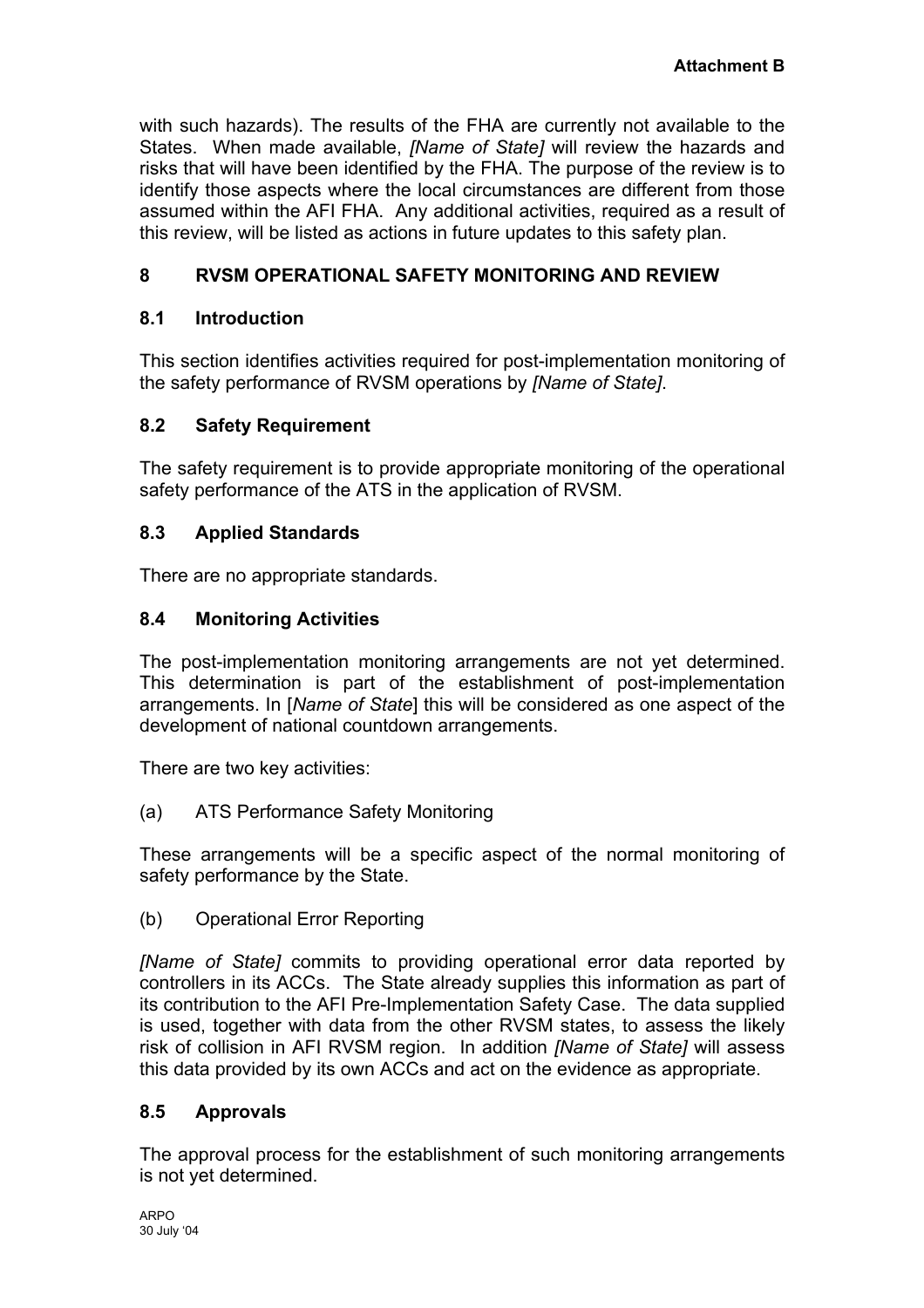<span id="page-27-0"></span>with such hazards). The results of the FHA are currently not available to the States. When made available, *[Name of State]* will review the hazards and risks that will have been identified by the FHA. The purpose of the review is to identify those aspects where the local circumstances are different from those assumed within the AFI FHA. Any additional activities, required as a result of this review, will be listed as actions in future updates to this safety plan.

# **8 RVSM OPERATIONAL SAFETY MONITORING AND REVIEW**

#### **8.1 Introduction**

This section identifies activities required for post-implementation monitoring of the safety performance of RVSM operations by *[Name of State]*.

### **8.2 Safety Requirement**

The safety requirement is to provide appropriate monitoring of the operational safety performance of the ATS in the application of RVSM.

### **8.3 Applied Standards**

There are no appropriate standards.

### **8.4 Monitoring Activities**

The post-implementation monitoring arrangements are not yet determined. This determination is part of the establishment of post-implementation arrangements. In [*Name of State*] this will be considered as one aspect of the development of national countdown arrangements.

There are two key activities:

(a) ATS Performance Safety Monitoring

These arrangements will be a specific aspect of the normal monitoring of safety performance by the State.

(b) Operational Error Reporting

*[Name of State]* commits to providing operational error data reported by controllers in its ACCs. The State already supplies this information as part of its contribution to the AFI Pre-Implementation Safety Case. The data supplied is used, together with data from the other RVSM states, to assess the likely risk of collision in AFI RVSM region. In addition *[Name of State]* will assess this data provided by its own ACCs and act on the evidence as appropriate.

# **8.5 Approvals**

The approval process for the establishment of such monitoring arrangements is not yet determined.